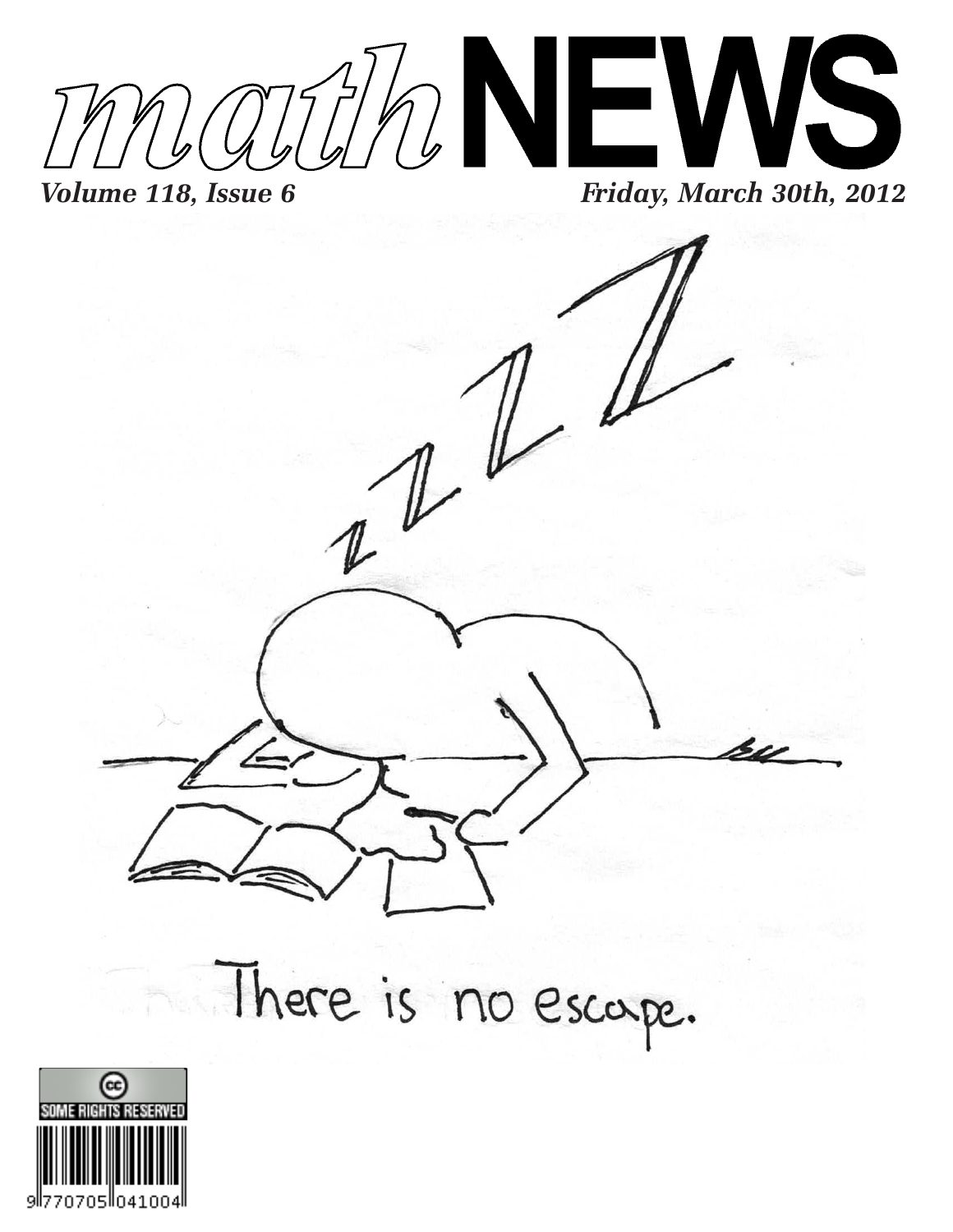

There is no escape.

 $\mathbb{Z}^{\mu}$ 

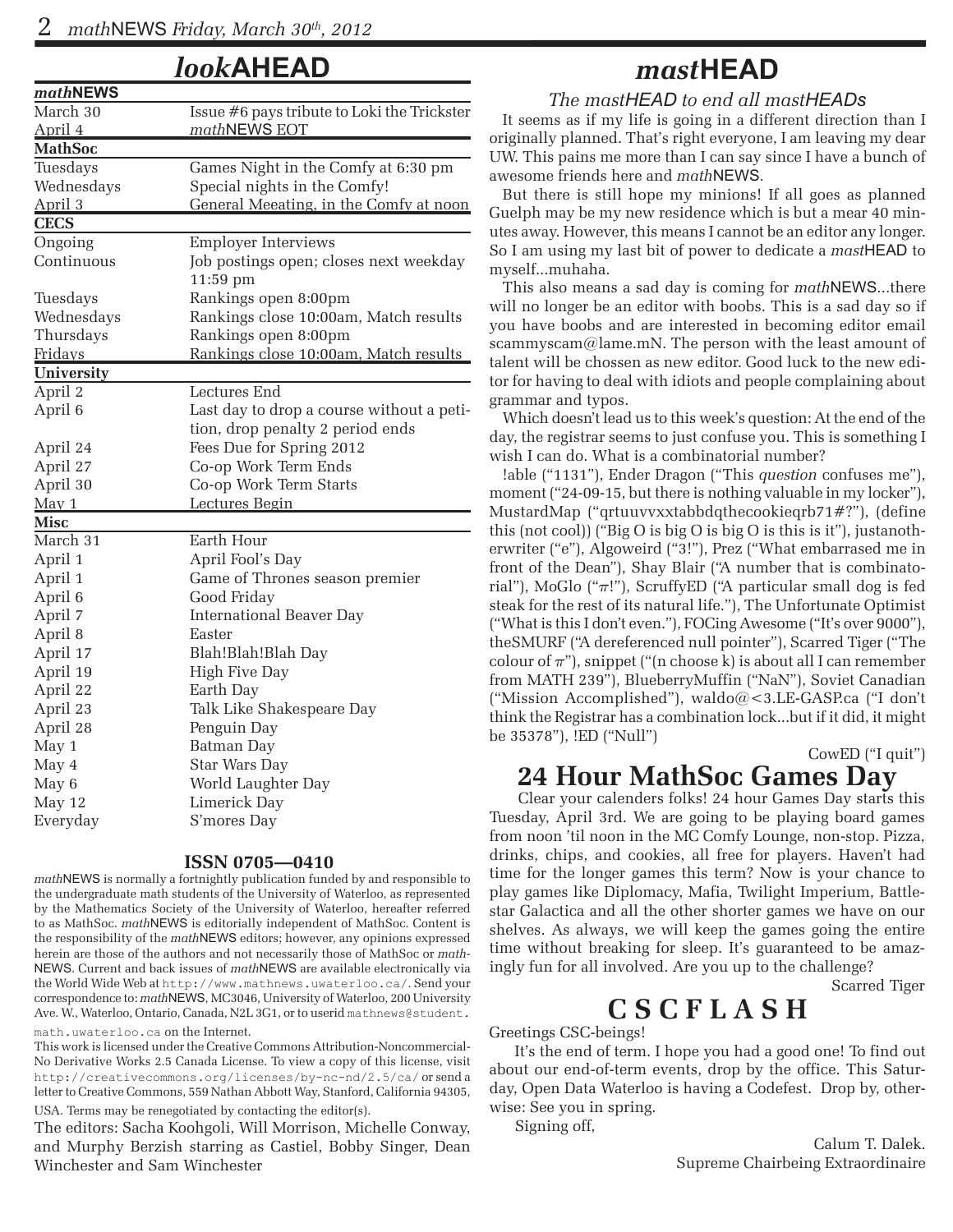*look***AHEAD**

| mathNEWS    |                                             |
|-------------|---------------------------------------------|
| March 30    | Issue #6 pays tribute to Loki the Trickster |
| April 4     | mathNEWS EOT                                |
| MathSoc     |                                             |
| Tuesdays    | Games Night in the Comfy at 6:30 pm         |
| Wednesdays  | Special nights in the Comfy!                |
| April 3     | General Meeating, in the Comfy at noon      |
| <b>CECS</b> |                                             |
| Ongoing     | <b>Employer Interviews</b>                  |
| Continuous  | Job postings open; closes next weekday      |
|             | 11:59 pm                                    |
| Tuesdays    | Rankings open 8:00pm                        |
| Wednesdays  | Rankings close 10:00am, Match results       |
| Thursdays   | Rankings open 8:00pm                        |
| Fridays     | Rankings close 10:00am, Match results       |
| University  |                                             |
| April 2     | Lectures End                                |
| April 6     | Last day to drop a course without a peti-   |
|             | tion, drop penalty 2 period ends            |
| April 24    | Fees Due for Spring 2012                    |
| April 27    | Co-op Work Term Ends                        |
| April 30    | Co-op Work Term Starts                      |
| $M$ ay 1    | Lectures Begin                              |
| Misc        |                                             |
| March 31    | Earth Hour                                  |
| April 1     | April Fool's Day                            |
| April 1     | Game of Thrones season premier              |
| April 6     | Good Friday                                 |
| April 7     | <b>International Beaver Day</b>             |
| April 8     | Easter                                      |
| April 17    | Blah!Blah!Blah Day                          |
| April 19    | <b>High Five Day</b>                        |
| April 22    | Earth Day                                   |
| April 23    | Talk Like Shakespeare Day                   |
| April 28    | Penguin Day                                 |
| May 1       | Batman Day                                  |
| May 4       | Star Wars Day                               |
| May 6       | World Laughter Day                          |
| May 12      | Limerick Day                                |
| Everyday    | S'mores Day                                 |
|             |                                             |

#### **ISSN 0705—0410**

*math*NEWS is normally a fortnightly publication funded by and responsible to the undergraduate math students of the University of Waterloo, as represented by the Mathematics Society of the University of Waterloo, hereafter referred to as MathSoc. *math*NEWS is editorially independent of MathSoc. Content is the responsibility of the *math*NEWS editors; however, any opinions expressed herein are those of the authors and not necessarily those of MathSoc or *math-*NEWS. Current and back issues of *math*NEWS are available electronically via the World Wide Web at http://www.mathnews.uwaterloo.ca/. Send your correspondence to: *math*NEWS, MC3046, University of Waterloo, 200 University Ave. W., Waterloo, Ontario, Canada, N2L 3G1, or to userid mathnews@student.

math.uwaterloo.ca on the Internet.

This work is licensed under the Creative Commons Attribution-Noncommercial-No Derivative Works 2.5 Canada License. To view a copy of this license, visit http://creativecommons.org/licenses/by-nc-nd/2.5/ca/ or send a letter to Creative Commons, 559 Nathan Abbott Way, Stanford, California 94305, USA. Terms may be renegotiated by contacting the editor(s).

The editors: Sacha Koohgoli, Will Morrison, Michelle Conway, and Murphy Berzish starring as Castiel, Bobby Singer, Dean Winchester and Sam Winchester

#### *mast***HEAD**

*The mastHEAD to end all mastHEADs*

It seems as if my life is going in a different direction than I originally planned. That's right everyone, I am leaving my dear UW. This pains me more than I can say since I have a bunch of awesome friends here and *math*NEWS.

But there is still hope my minions! If all goes as planned Guelph may be my new residence which is but a mear 40 minutes away. However, this means I cannot be an editor any longer. So I am using my last bit of power to dedicate a *mast*HEAD to myself...muhaha.

This also means a sad day is coming for *math*NEWS...there will no longer be an editor with boobs. This is a sad day so if you have boobs and are interested in becoming editor email scammyscam@lame.mN. The person with the least amount of talent will be chossen as new editor. Good luck to the new editor for having to deal with idiots and people complaining about grammar and typos.

Which doesn't lead us to this week's question: At the end of the day, the registrar seems to just confuse you. This is something I wish I can do. What is a combinatorial number?

!able ("1131"), Ender Dragon ("This *question* confuses me"), moment ("24-09-15, but there is nothing valuable in my locker"), MustardMap ("qrtuuvvxxtabbdqthecookieqrb71#?"), (define this (not cool)) ("Big O is big O is big O is this is it"), justanotherwriter ("e"), Algoweird ("3!"), Prez ("What embarrased me in front of the Dean"), Shay Blair ("A number that is combinatorial"), MoGlo (" $\pi$ !"), ScruffyED ("A particular small dog is fed steak for the rest of its natural life."), The Unfortunate Optimist ("What is this I don't even."), FOCing Awesome ("It's over 9000"), theSMURF ("A dereferenced null pointer"), Scarred Tiger ("The colour of  $\pi$ "), snippet ("(n choose k) is about all I can remember from MATH 239"), BlueberryMuffin ("NaN"), Soviet Canadian ("Mission Accomplished"), waldo@<3.LE-GASP.ca ("I don't think the Registrar has a combination lock...but if it did, it might be 35378"), !ED ("Null")

CowED ("I quit")

#### **24 Hour MathSoc Games Day**

 Clear your calenders folks! 24 hour Games Day starts this Tuesday, April 3rd. We are going to be playing board games from noon 'til noon in the MC Comfy Lounge, non-stop. Pizza, drinks, chips, and cookies, all free for players. Haven't had time for the longer games this term? Now is your chance to play games like Diplomacy, Mafia, Twilight Imperium, Battlestar Galactica and all the other shorter games we have on our shelves. As always, we will keep the games going the entire time without breaking for sleep. It's guaranteed to be amazingly fun for all involved. Are you up to the challenge?

Scarred Tiger

#### **C S C F L A S H**

Greetings CSC-beings!

 It's the end of term. I hope you had a good one! To find out about our end-of-term events, drop by the office. This Saturday, Open Data Waterloo is having a Codefest. Drop by, otherwise: See you in spring.

Signing off,

Calum T. Dalek. Supreme Chairbeing Extraordinaire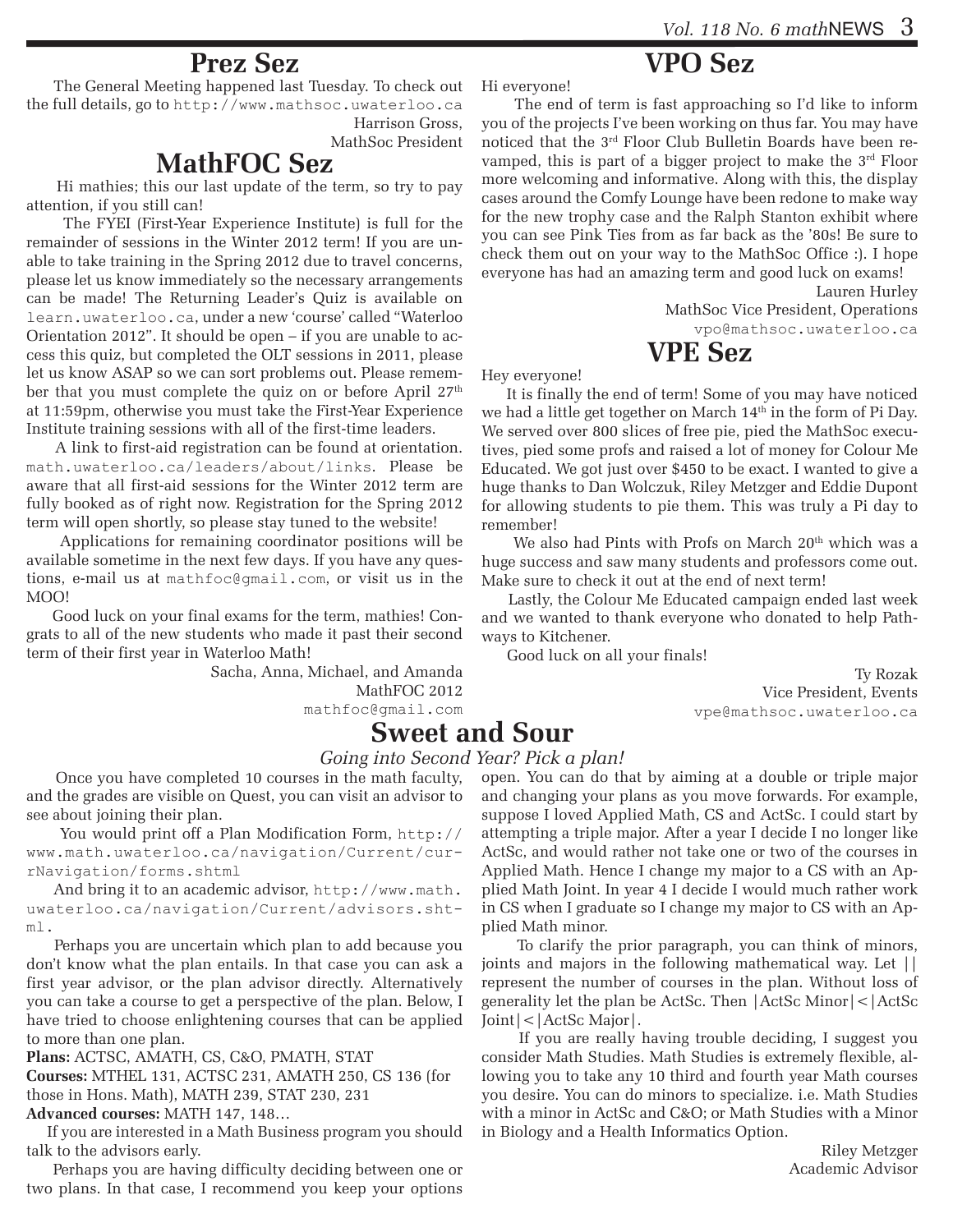#### **Prez Sez**

 The General Meeting happened last Tuesday. To check out the full details, go to http://www.mathsoc.uwaterloo.ca

Harrison Gross, MathSoc President

#### **MathFOC Sez**

 Hi mathies; this our last update of the term, so try to pay attention, if you still can!

 The FYEI (First-Year Experience Institute) is full for the remainder of sessions in the Winter 2012 term! If you are unable to take training in the Spring 2012 due to travel concerns, please let us know immediately so the necessary arrangements can be made! The Returning Leader's Quiz is available on learn.uwaterloo.ca, under a new 'course' called "Waterloo Orientation 2012". It should be open – if you are unable to access this quiz, but completed the OLT sessions in 2011, please let us know ASAP so we can sort problems out. Please remember that you must complete the quiz on or before April  $27<sup>th</sup>$ at 11:59pm, otherwise you must take the First-Year Experience Institute training sessions with all of the first-time leaders.

 A link to first-aid registration can be found at orientation. math.uwaterloo.ca/leaders/about/links. Please be aware that all first-aid sessions for the Winter 2012 term are fully booked as of right now. Registration for the Spring 2012 term will open shortly, so please stay tuned to the website!

 Applications for remaining coordinator positions will be available sometime in the next few days. If you have any questions, e-mail us at mathfoc@gmail.com, or visit us in the MOO!

 Good luck on your final exams for the term, mathies! Congrats to all of the new students who made it past their second term of their first year in Waterloo Math!

> Sacha, Anna, Michael, and Amanda MathFOC 2012

mathfoc@gmail.com

#### **Sweet and Sour**

plied Math minor.

Joint|<|ActSc Major|.

#### *Going into Second Year? Pick a plan!*

 Once you have completed 10 courses in the math faculty, and the grades are visible on Quest, you can visit an advisor to see about joining their plan.

 You would print off a Plan Modification Form, http:// www.math.uwaterloo.ca/navigation/Current/currNavigation/forms.shtml

 And bring it to an academic advisor, http://www.math. uwaterloo.ca/navigation/Current/advisors.shtml.

 Perhaps you are uncertain which plan to add because you don't know what the plan entails. In that case you can ask a first year advisor, or the plan advisor directly. Alternatively you can take a course to get a perspective of the plan. Below, I have tried to choose enlightening courses that can be applied to more than one plan.

**Plans:** ACTSC, AMATH, CS, C&O, PMATH, STAT

**Courses:** MTHEL 131, ACTSC 231, AMATH 250, CS 136 (for those in Hons. Math), MATH 239, STAT 230, 231 **Advanced courses:** MATH 147, 148…

 If you are interested in a Math Business program you should talk to the advisors early.

 Perhaps you are having difficulty deciding between one or two plans. In that case, I recommend you keep your options Hi everyone!

 The end of term is fast approaching so I'd like to inform you of the projects I've been working on thus far. You may have noticed that the 3rd Floor Club Bulletin Boards have been revamped, this is part of a bigger project to make the 3rd Floor more welcoming and informative. Along with this, the display cases around the Comfy Lounge have been redone to make way for the new trophy case and the Ralph Stanton exhibit where you can see Pink Ties from as far back as the '80s! Be sure to check them out on your way to the MathSoc Office :). I hope everyone has had an amazing term and good luck on exams!

**VPO Sez**

Lauren Hurley MathSoc Vice President, Operations vpo@mathsoc.uwaterloo.ca

#### **VPE Sez**

Hey everyone!

 It is finally the end of term! Some of you may have noticed we had a little get together on March 14<sup>th</sup> in the form of Pi Day. We served over 800 slices of free pie, pied the MathSoc executives, pied some profs and raised a lot of money for Colour Me Educated. We got just over \$450 to be exact. I wanted to give a huge thanks to Dan Wolczuk, Riley Metzger and Eddie Dupont for allowing students to pie them. This was truly a Pi day to remember!

We also had Pints with Profs on March 20<sup>th</sup> which was a huge success and saw many students and professors come out. Make sure to check it out at the end of next term!

 Lastly, the Colour Me Educated campaign ended last week and we wanted to thank everyone who donated to help Pathways to Kitchener.

open. You can do that by aiming at a double or triple major and changing your plans as you move forwards. For example, suppose I loved Applied Math, CS and ActSc. I could start by attempting a triple major. After a year I decide I no longer like ActSc, and would rather not take one or two of the courses in Applied Math. Hence I change my major to a CS with an Applied Math Joint. In year 4 I decide I would much rather work in CS when I graduate so I change my major to CS with an Ap-

 To clarify the prior paragraph, you can think of minors, joints and majors in the following mathematical way. Let || represent the number of courses in the plan. Without loss of generality let the plan be ActSc. Then |ActSc Minor|<|ActSc

 If you are really having trouble deciding, I suggest you consider Math Studies. Math Studies is extremely flexible, allowing you to take any 10 third and fourth year Math courses you desire. You can do minors to specialize. i.e. Math Studies with a minor in ActSc and C&O; or Math Studies with a Minor

Good luck on all your finals!

Ty Rozak Vice President, Events vpe@mathsoc.uwaterloo.ca

in Biology and a Health Informatics Option. Riley Metzger Academic Advisor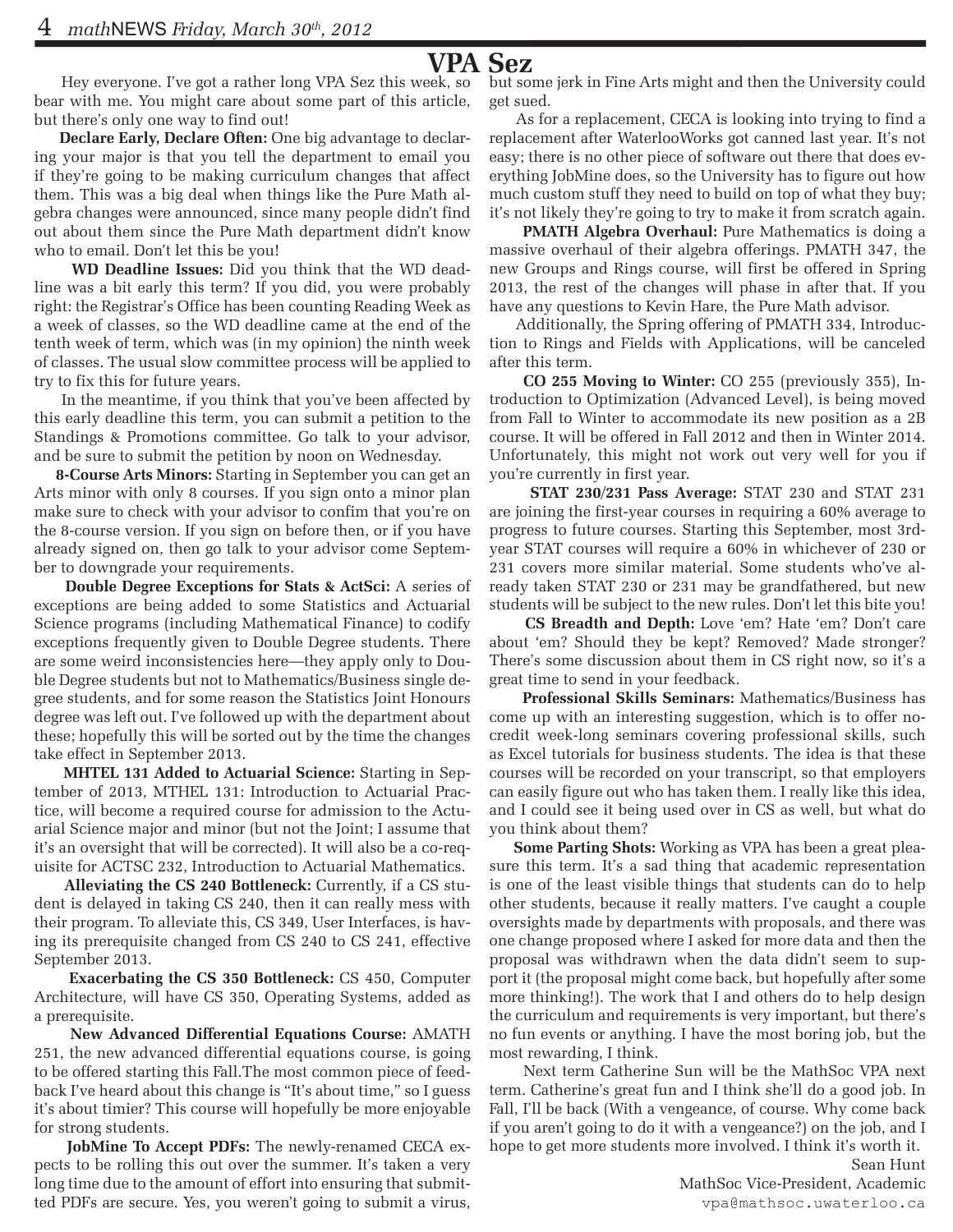#### **VPA Sez**

 Hey everyone. I've got a rather long VPA Sez this week, so bear with me. You might care about some part of this article, but there's only one way to find out!

 **Declare Early, Declare Often:** One big advantage to declaring your major is that you tell the department to email you if they're going to be making curriculum changes that affect them. This was a big deal when things like the Pure Math algebra changes were announced, since many people didn't find out about them since the Pure Math department didn't know who to email. Don't let this be you!

 **WD Deadline Issues:** Did you think that the WD deadline was a bit early this term? If you did, you were probably right: the Registrar's Office has been counting Reading Week as a week of classes, so the WD deadline came at the end of the tenth week of term, which was (in my opinion) the ninth week of classes. The usual slow committee process will be applied to try to fix this for future years.

 In the meantime, if you think that you've been affected by this early deadline this term, you can submit a petition to the Standings & Promotions committee. Go talk to your advisor, and be sure to submit the petition by noon on Wednesday.

 **8-Course Arts Minors:** Starting in September you can get an Arts minor with only 8 courses. If you sign onto a minor plan make sure to check with your advisor to confim that you're on the 8-course version. If you sign on before then, or if you have already signed on, then go talk to your advisor come September to downgrade your requirements.

 **Double Degree Exceptions for Stats & ActSci:** A series of exceptions are being added to some Statistics and Actuarial Science programs (including Mathematical Finance) to codify exceptions frequently given to Double Degree students. There are some weird inconsistencies here—they apply only to Double Degree students but not to Mathematics/Business single degree students, and for some reason the Statistics Joint Honours degree was left out. I've followed up with the department about these; hopefully this will be sorted out by the time the changes take effect in September 2013.

 **MHTEL 131 Added to Actuarial Science:** Starting in September of 2013, MTHEL 131: Introduction to Actuarial Practice, will become a required course for admission to the Actuarial Science major and minor (but not the Joint; I assume that it's an oversight that will be corrected). It will also be a co-requisite for ACTSC 232, Introduction to Actuarial Mathematics.

 **Alleviating the CS 240 Bottleneck:** Currently, if a CS student is delayed in taking CS 240, then it can really mess with their program. To alleviate this, CS 349, User Interfaces, is having its prerequisite changed from CS 240 to CS 241, effective September 2013.

 **Exacerbating the CS 350 Bottleneck:** CS 450, Computer Architecture, will have CS 350, Operating Systems, added as a prerequisite.

 **New Advanced Differential Equations Course:** AMATH 251, the new advanced differential equations course, is going to be offered starting this Fall.The most common piece of feedback I've heard about this change is "It's about time," so I guess it's about timier? This course will hopefully be more enjoyable for strong students.

 **JobMine To Accept PDFs:** The newly-renamed CECA expects to be rolling this out over the summer. It's taken a very long time due to the amount of effort into ensuring that submitted PDFs are secure. Yes, you weren't going to submit a virus, but some jerk in Fine Arts might and then the University could get sued.

 As for a replacement, CECA is looking into trying to find a replacement after WaterlooWorks got canned last year. It's not easy; there is no other piece of software out there that does everything JobMine does, so the University has to figure out how much custom stuff they need to build on top of what they buy; it's not likely they're going to try to make it from scratch again.

**PMATH Algebra Overhaul:** Pure Mathematics is doing a massive overhaul of their algebra offerings. PMATH 347, the new Groups and Rings course, will first be offered in Spring 2013, the rest of the changes will phase in after that. If you have any questions to Kevin Hare, the Pure Math advisor.

 Additionally, the Spring offering of PMATH 334, Introduction to Rings and Fields with Applications, will be canceled after this term.

 **CO 255 Moving to Winter:** CO 255 (previously 355), Introduction to Optimization (Advanced Level), is being moved from Fall to Winter to accommodate its new position as a 2B course. It will be offered in Fall 2012 and then in Winter 2014. Unfortunately, this might not work out very well for you if you're currently in first year.

 **STAT 230/231 Pass Average:** STAT 230 and STAT 231 are joining the first-year courses in requiring a 60% average to progress to future courses. Starting this September, most 3rdyear STAT courses will require a 60% in whichever of 230 or 231 covers more similar material. Some students who've already taken STAT 230 or 231 may be grandfathered, but new students will be subject to the new rules. Don't let this bite you!

 **CS Breadth and Depth:** Love 'em? Hate 'em? Don't care about 'em? Should they be kept? Removed? Made stronger? There's some discussion about them in CS right now, so it's a great time to send in your feedback.

 **Professional Skills Seminars:** Mathematics/Business has come up with an interesting suggestion, which is to offer nocredit week-long seminars covering professional skills, such as Excel tutorials for business students. The idea is that these courses will be recorded on your transcript, so that employers can easily figure out who has taken them. I really like this idea, and I could see it being used over in CS as well, but what do you think about them?

 **Some Parting Shots:** Working as VPA has been a great pleasure this term. It's a sad thing that academic representation is one of the least visible things that students can do to help other students, because it really matters. I've caught a couple oversights made by departments with proposals, and there was one change proposed where I asked for more data and then the proposal was withdrawn when the data didn't seem to support it (the proposal might come back, but hopefully after some more thinking!). The work that I and others do to help design the curriculum and requirements is very important, but there's no fun events or anything. I have the most boring job, but the most rewarding, I think.

 Next term Catherine Sun will be the MathSoc VPA next term. Catherine's great fun and I think she'll do a good job. In Fall, I'll be back (With a vengeance, of course. Why come back if you aren't going to do it with a vengeance?) on the job, and I hope to get more students more involved. I think it's worth it.

Sean Hunt MathSoc Vice-President, Academic vpa@mathsoc.uwaterloo.ca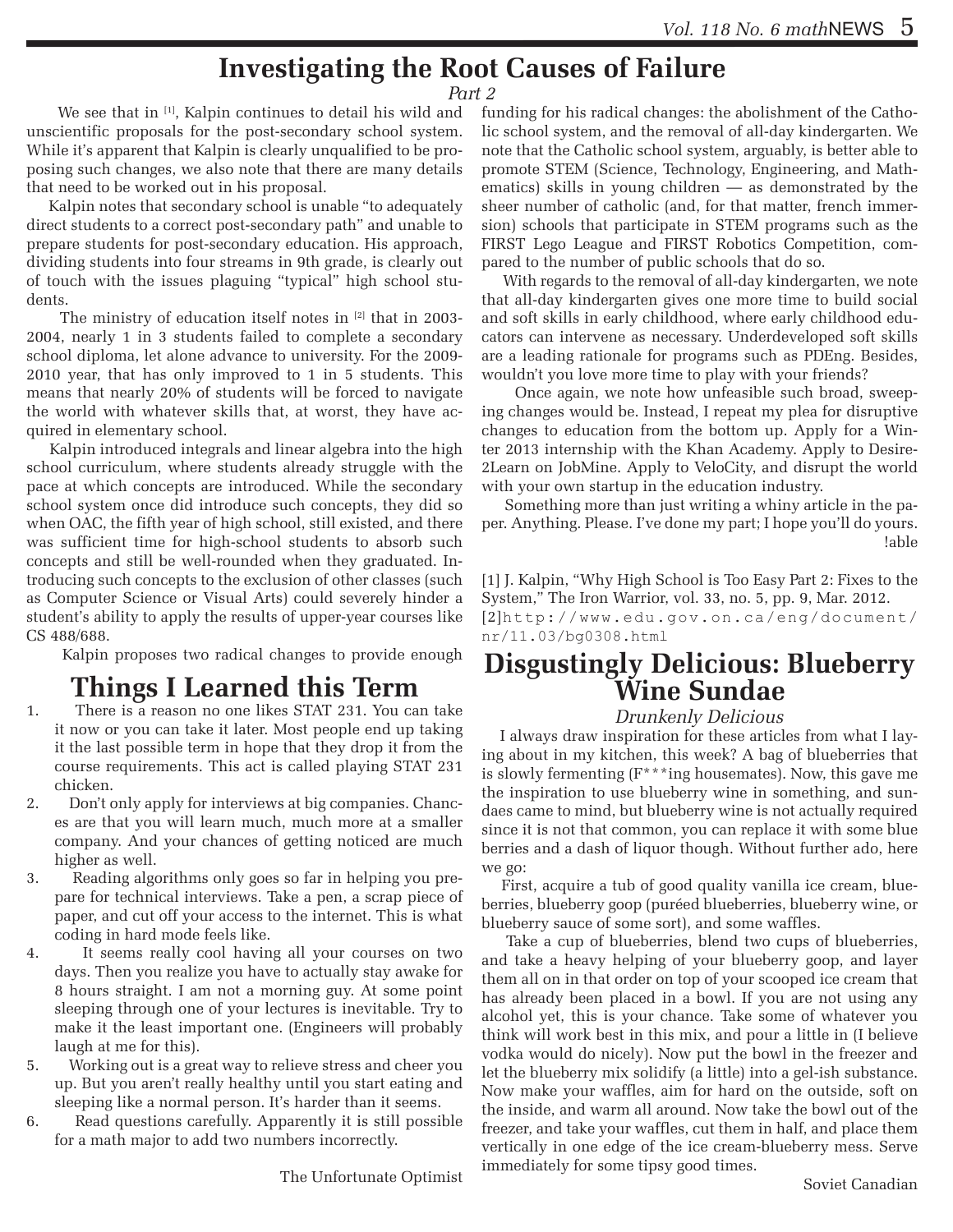#### **Investigating the Root Causes of Failure**

#### *Part 2*

We see that in [1], Kalpin continues to detail his wild and unscientific proposals for the post-secondary school system. While it's apparent that Kalpin is clearly unqualified to be proposing such changes, we also note that there are many details that need to be worked out in his proposal.

 Kalpin notes that secondary school is unable "to adequately direct students to a correct post-secondary path" and unable to prepare students for post-secondary education. His approach, dividing students into four streams in 9th grade, is clearly out of touch with the issues plaguing "typical" high school students.

The ministry of education itself notes in [2] that in 2003-2004, nearly 1 in 3 students failed to complete a secondary school diploma, let alone advance to university. For the 2009- 2010 year, that has only improved to 1 in 5 students. This means that nearly 20% of students will be forced to navigate the world with whatever skills that, at worst, they have acquired in elementary school.

 Kalpin introduced integrals and linear algebra into the high school curriculum, where students already struggle with the pace at which concepts are introduced. While the secondary school system once did introduce such concepts, they did so when OAC, the fifth year of high school, still existed, and there was sufficient time for high-school students to absorb such concepts and still be well-rounded when they graduated. Introducing such concepts to the exclusion of other classes (such as Computer Science or Visual Arts) could severely hinder a student's ability to apply the results of upper-year courses like CS 488/688.

Kalpin proposes two radical changes to provide enough

#### **Things I Learned this Term**

- 1. There is a reason no one likes STAT 231. You can take it now or you can take it later. Most people end up taking it the last possible term in hope that they drop it from the course requirements. This act is called playing STAT 231 chicken.
- 2. Don't only apply for interviews at big companies. Chances are that you will learn much, much more at a smaller company. And your chances of getting noticed are much higher as well.
- 3. Reading algorithms only goes so far in helping you prepare for technical interviews. Take a pen, a scrap piece of paper, and cut off your access to the internet. This is what coding in hard mode feels like.
- 4. It seems really cool having all your courses on two days. Then you realize you have to actually stay awake for 8 hours straight. I am not a morning guy. At some point sleeping through one of your lectures is inevitable. Try to make it the least important one. (Engineers will probably laugh at me for this).
- 5. Working out is a great way to relieve stress and cheer you up. But you aren't really healthy until you start eating and sleeping like a normal person. It's harder than it seems.
- 6. Read questions carefully. Apparently it is still possible for a math major to add two numbers incorrectly.

The Unfortunate Optimist

funding for his radical changes: the abolishment of the Catholic school system, and the removal of all-day kindergarten. We note that the Catholic school system, arguably, is better able to promote STEM (Science, Technology, Engineering, and Mathematics) skills in young children — as demonstrated by the sheer number of catholic (and, for that matter, french immersion) schools that participate in STEM programs such as the FIRST Lego League and FIRST Robotics Competition, compared to the number of public schools that do so.

 With regards to the removal of all-day kindergarten, we note that all-day kindergarten gives one more time to build social and soft skills in early childhood, where early childhood educators can intervene as necessary. Underdeveloped soft skills are a leading rationale for programs such as PDEng. Besides, wouldn't you love more time to play with your friends?

 Once again, we note how unfeasible such broad, sweeping changes would be. Instead, I repeat my plea for disruptive changes to education from the bottom up. Apply for a Winter 2013 internship with the Khan Academy. Apply to Desire-2Learn on JobMine. Apply to VeloCity, and disrupt the world with your own startup in the education industry.

 Something more than just writing a whiny article in the paper. Anything. Please. I've done my part; I hope you'll do yours. !able

[1] J. Kalpin, "Why High School is Too Easy Part 2: Fixes to the System," The Iron Warrior, vol. 33, no. 5, pp. 9, Mar. 2012.

[2]http://www.edu.gov.on.ca/eng/document/ nr/11.03/bg0308.html

# **Disgustingly Delicious: Blueberry Wine Sundae**

#### *Drunkenly Delicious*

 I always draw inspiration for these articles from what I laying about in my kitchen, this week? A bag of blueberries that is slowly fermenting (F\*\*\*ing housemates). Now, this gave me the inspiration to use blueberry wine in something, and sundaes came to mind, but blueberry wine is not actually required since it is not that common, you can replace it with some blue berries and a dash of liquor though. Without further ado, here we go:

 First, acquire a tub of good quality vanilla ice cream, blueberries, blueberry goop (puréed blueberries, blueberry wine, or blueberry sauce of some sort), and some waffles.

 Take a cup of blueberries, blend two cups of blueberries, and take a heavy helping of your blueberry goop, and layer them all on in that order on top of your scooped ice cream that has already been placed in a bowl. If you are not using any alcohol yet, this is your chance. Take some of whatever you think will work best in this mix, and pour a little in (I believe vodka would do nicely). Now put the bowl in the freezer and let the blueberry mix solidify (a little) into a gel-ish substance. Now make your waffles, aim for hard on the outside, soft on the inside, and warm all around. Now take the bowl out of the freezer, and take your waffles, cut them in half, and place them vertically in one edge of the ice cream-blueberry mess. Serve immediately for some tipsy good times.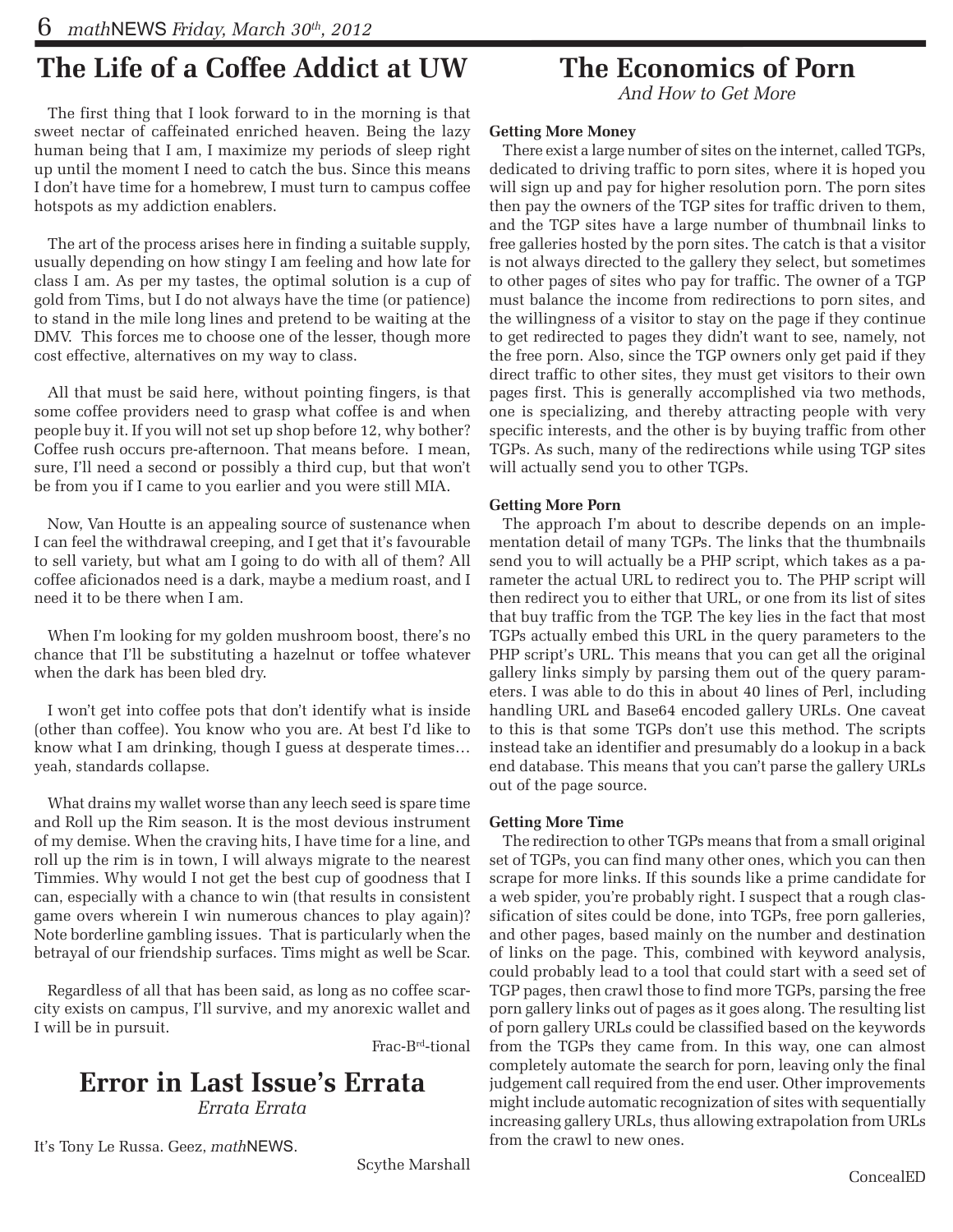#### **The Life of a Coffee Addict at UW**

The first thing that I look forward to in the morning is that sweet nectar of caffeinated enriched heaven. Being the lazy human being that I am, I maximize my periods of sleep right up until the moment I need to catch the bus. Since this means I don't have time for a homebrew, I must turn to campus coffee hotspots as my addiction enablers.

The art of the process arises here in finding a suitable supply, usually depending on how stingy I am feeling and how late for class I am. As per my tastes, the optimal solution is a cup of gold from Tims, but I do not always have the time (or patience) to stand in the mile long lines and pretend to be waiting at the DMV. This forces me to choose one of the lesser, though more cost effective, alternatives on my way to class.

All that must be said here, without pointing fingers, is that some coffee providers need to grasp what coffee is and when people buy it. If you will not set up shop before 12, why bother? Coffee rush occurs pre-afternoon. That means before. I mean, sure, I'll need a second or possibly a third cup, but that won't be from you if I came to you earlier and you were still MIA.

Now, Van Houtte is an appealing source of sustenance when I can feel the withdrawal creeping, and I get that it's favourable to sell variety, but what am I going to do with all of them? All coffee aficionados need is a dark, maybe a medium roast, and I need it to be there when I am.

When I'm looking for my golden mushroom boost, there's no chance that I'll be substituting a hazelnut or toffee whatever when the dark has been bled dry.

I won't get into coffee pots that don't identify what is inside (other than coffee). You know who you are. At best I'd like to know what I am drinking, though I guess at desperate times… yeah, standards collapse.

What drains my wallet worse than any leech seed is spare time and Roll up the Rim season. It is the most devious instrument of my demise. When the craving hits, I have time for a line, and roll up the rim is in town, I will always migrate to the nearest Timmies. Why would I not get the best cup of goodness that I can, especially with a chance to win (that results in consistent game overs wherein I win numerous chances to play again)? Note borderline gambling issues. That is particularly when the betrayal of our friendship surfaces. Tims might as well be Scar.

Regardless of all that has been said, as long as no coffee scarcity exists on campus, I'll survive, and my anorexic wallet and I will be in pursuit.

Frac-Brd-tional

#### **Error in Last Issue's Errata** *Errata Errata*

It's Tony Le Russa. Geez, *math*NEWS.

Scythe Marshall

#### **The Economics of Porn**

*And How to Get More*

#### **Getting More Money**

There exist a large number of sites on the internet, called TGPs, dedicated to driving traffic to porn sites, where it is hoped you will sign up and pay for higher resolution porn. The porn sites then pay the owners of the TGP sites for traffic driven to them, and the TGP sites have a large number of thumbnail links to free galleries hosted by the porn sites. The catch is that a visitor is not always directed to the gallery they select, but sometimes to other pages of sites who pay for traffic. The owner of a TGP must balance the income from redirections to porn sites, and the willingness of a visitor to stay on the page if they continue to get redirected to pages they didn't want to see, namely, not the free porn. Also, since the TGP owners only get paid if they direct traffic to other sites, they must get visitors to their own pages first. This is generally accomplished via two methods, one is specializing, and thereby attracting people with very specific interests, and the other is by buying traffic from other TGPs. As such, many of the redirections while using TGP sites will actually send you to other TGPs.

#### **Getting More Porn**

The approach I'm about to describe depends on an implementation detail of many TGPs. The links that the thumbnails send you to will actually be a PHP script, which takes as a parameter the actual URL to redirect you to. The PHP script will then redirect you to either that URL, or one from its list of sites that buy traffic from the TGP. The key lies in the fact that most TGPs actually embed this URL in the query parameters to the PHP script's URL. This means that you can get all the original gallery links simply by parsing them out of the query parameters. I was able to do this in about 40 lines of Perl, including handling URL and Base64 encoded gallery URLs. One caveat to this is that some TGPs don't use this method. The scripts instead take an identifier and presumably do a lookup in a back end database. This means that you can't parse the gallery URLs out of the page source.

#### **Getting More Time**

The redirection to other TGPs means that from a small original set of TGPs, you can find many other ones, which you can then scrape for more links. If this sounds like a prime candidate for a web spider, you're probably right. I suspect that a rough classification of sites could be done, into TGPs, free porn galleries, and other pages, based mainly on the number and destination of links on the page. This, combined with keyword analysis, could probably lead to a tool that could start with a seed set of TGP pages, then crawl those to find more TGPs, parsing the free porn gallery links out of pages as it goes along. The resulting list of porn gallery URLs could be classified based on the keywords from the TGPs they came from. In this way, one can almost completely automate the search for porn, leaving only the final judgement call required from the end user. Other improvements might include automatic recognization of sites with sequentially increasing gallery URLs, thus allowing extrapolation from URLs from the crawl to new ones.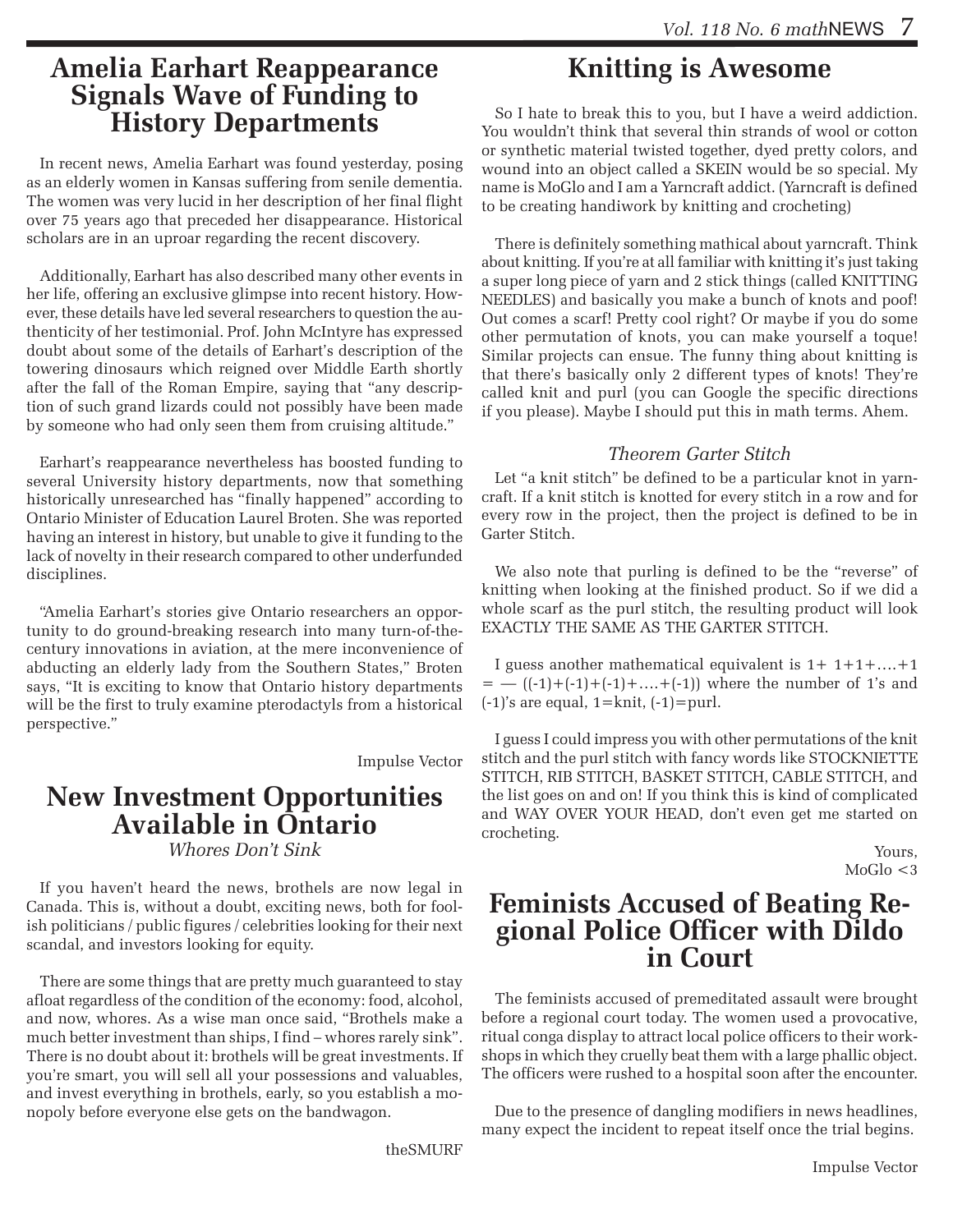#### **Amelia Earhart Reappearance Signals Wave of Funding to History Departments**

In recent news, Amelia Earhart was found yesterday, posing as an elderly women in Kansas suffering from senile dementia. The women was very lucid in her description of her final flight over 75 years ago that preceded her disappearance. Historical scholars are in an uproar regarding the recent discovery.

Additionally, Earhart has also described many other events in her life, offering an exclusive glimpse into recent history. However, these details have led several researchers to question the authenticity of her testimonial. Prof. John McIntyre has expressed doubt about some of the details of Earhart's description of the towering dinosaurs which reigned over Middle Earth shortly after the fall of the Roman Empire, saying that "any description of such grand lizards could not possibly have been made by someone who had only seen them from cruising altitude."

Earhart's reappearance nevertheless has boosted funding to several University history departments, now that something historically unresearched has "finally happened" according to Ontario Minister of Education Laurel Broten. She was reported having an interest in history, but unable to give it funding to the lack of novelty in their research compared to other underfunded disciplines.

"Amelia Earhart's stories give Ontario researchers an opportunity to do ground-breaking research into many turn-of-thecentury innovations in aviation, at the mere inconvenience of abducting an elderly lady from the Southern States," Broten says, "It is exciting to know that Ontario history departments will be the first to truly examine pterodactyls from a historical perspective."

Impulse Vector

## **New Investment Opportunities Available in Ontario** *Whores Don't Sink*

If you haven't heard the news, brothels are now legal in Canada. This is, without a doubt, exciting news, both for foolish politicians / public figures / celebrities looking for their next scandal, and investors looking for equity.

There are some things that are pretty much guaranteed to stay afloat regardless of the condition of the economy: food, alcohol, and now, whores. As a wise man once said, "Brothels make a much better investment than ships, I find – whores rarely sink". There is no doubt about it: brothels will be great investments. If you're smart, you will sell all your possessions and valuables, and invest everything in brothels, early, so you establish a monopoly before everyone else gets on the bandwagon.

theSMURF

## **Knitting is Awesome**

So I hate to break this to you, but I have a weird addiction. You wouldn't think that several thin strands of wool or cotton or synthetic material twisted together, dyed pretty colors, and wound into an object called a SKEIN would be so special. My name is MoGlo and I am a Yarncraft addict. (Yarncraft is defined to be creating handiwork by knitting and crocheting)

There is definitely something mathical about yarncraft. Think about knitting. If you're at all familiar with knitting it's just taking a super long piece of yarn and 2 stick things (called KNITTING NEEDLES) and basically you make a bunch of knots and poof! Out comes a scarf! Pretty cool right? Or maybe if you do some other permutation of knots, you can make yourself a toque! Similar projects can ensue. The funny thing about knitting is that there's basically only 2 different types of knots! They're called knit and purl (you can Google the specific directions if you please). Maybe I should put this in math terms. Ahem.

#### *Theorem Garter Stitch*

Let "a knit stitch" be defined to be a particular knot in yarncraft. If a knit stitch is knotted for every stitch in a row and for every row in the project, then the project is defined to be in Garter Stitch.

We also note that purling is defined to be the "reverse" of knitting when looking at the finished product. So if we did a whole scarf as the purl stitch, the resulting product will look EXACTLY THE SAME AS THE GARTER STITCH.

I guess another mathematical equivalent is  $1+1+1+\ldots+1$  $=$   $((-1)+(-1)+(-1)+....+(-1))$  where the number of 1's and  $(-1)$ 's are equal,  $1=$ knit,  $(-1)=$ purl.

I guess I could impress you with other permutations of the knit stitch and the purl stitch with fancy words like STOCKNIETTE STITCH, RIB STITCH, BASKET STITCH, CABLE STITCH, and the list goes on and on! If you think this is kind of complicated and WAY OVER YOUR HEAD, don't even get me started on crocheting.

> Yours,  $MoGlo < 3$

## **Feminists Accused of Beating Re- gional Police Officer with Dildo in Court**

The feminists accused of premeditated assault were brought before a regional court today. The women used a provocative, ritual conga display to attract local police officers to their workshops in which they cruelly beat them with a large phallic object. The officers were rushed to a hospital soon after the encounter.

Due to the presence of dangling modifiers in news headlines, many expect the incident to repeat itself once the trial begins.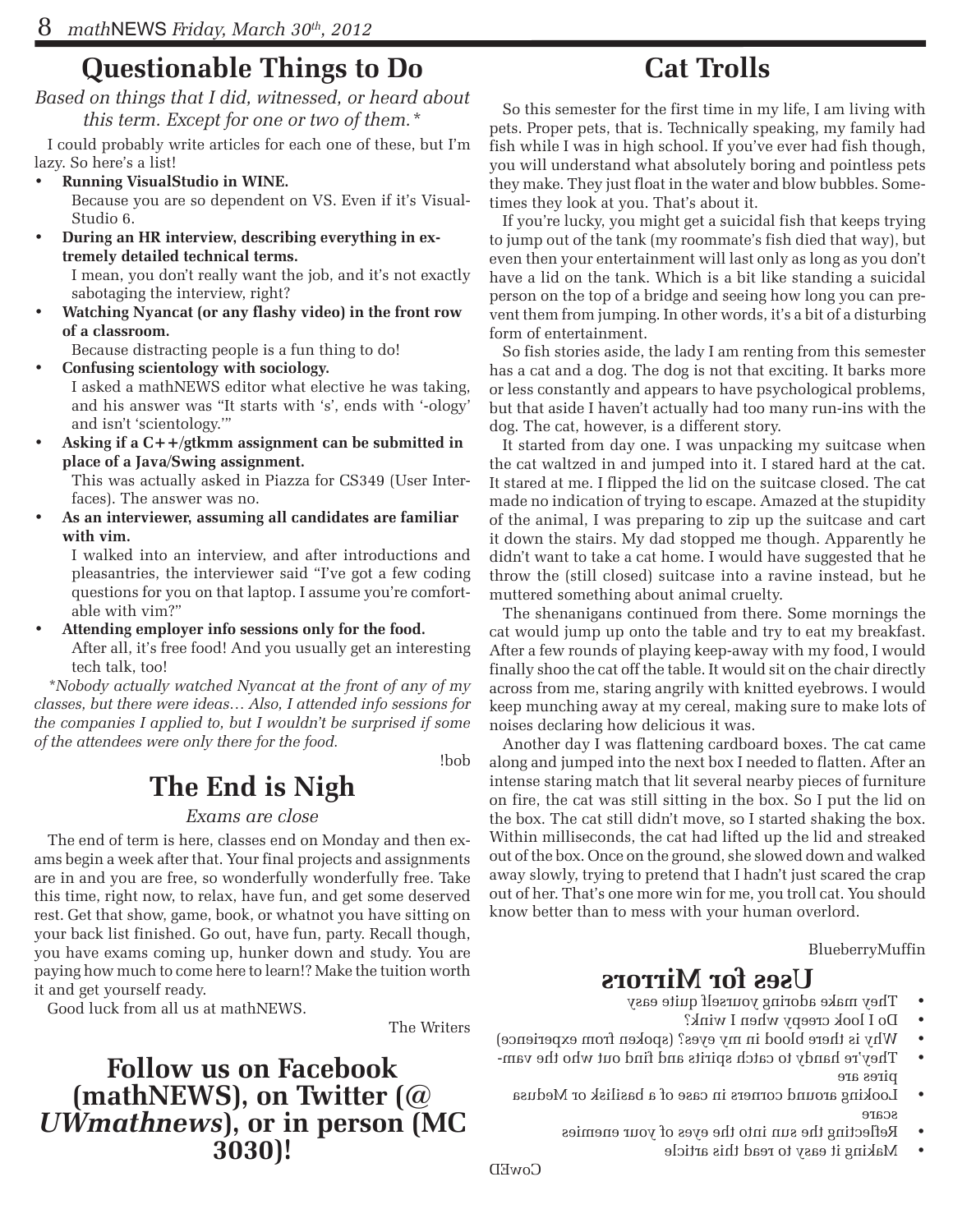## **Questionable Things to Do**

*Based on things that I did, witnessed, or heard about this term. Except for one or two of them.\**

I could probably write articles for each one of these, but I'm lazy. So here's a list!

**Running VisualStudio in WINE.** 

Because you are so dependent on VS. Even if it's Visual-Studio 6.

**During an HR interview, describing everything in extremely detailed technical terms.**

I mean, you don't really want the job, and it's not exactly sabotaging the interview, right?

**Watching Nyancat (or any flashy video) in the front row of a classroom.**

Because distracting people is a fun thing to do!

- **• Confusing scientology with sociology.** I asked a mathNEWS editor what elective he was taking, and his answer was "It starts with 's', ends with '-ology' and isn't 'scientology.'"
- Asking if a C++/gtkmm assignment can be submitted in **place of a Java/Swing assignment.**

This was actually asked in Piazza for CS349 (User Interfaces). The answer was no.

As an interviewer, assuming all candidates are familiar **with vim.**

I walked into an interview, and after introductions and pleasantries, the interviewer said "I've got a few coding questions for you on that laptop. I assume you're comfortable with vim?"

Attending employer info sessions only for the food. After all, it's free food! And you usually get an interesting tech talk, too!

*\*Nobody actually watched Nyancat at the front of any of my classes, but there were ideas… Also, I attended info sessions for the companies I applied to, but I wouldn't be surprised if some of the attendees were only there for the food.*

!bob

## **The End is Nigh**

#### *Exams are close*

The end of term is here, classes end on Monday and then exams begin a week after that. Your final projects and assignments are in and you are free, so wonderfully wonderfully free. Take this time, right now, to relax, have fun, and get some deserved rest. Get that show, game, book, or whatnot you have sitting on your back list finished. Go out, have fun, party. Recall though, you have exams coming up, hunker down and study. You are paying how much to come here to learn!? Make the tuition worth it and get yourself ready.

Good luck from all us at mathNEWS.

The Writers

#### **Follow us on Facebook (mathNEWS), on Twitter (***@ UWmathnews***), or in person (MC 3030)!**

## **Cat Trolls**

So this semester for the first time in my life, I am living with pets. Proper pets, that is. Technically speaking, my family had fish while I was in high school. If you've ever had fish though, you will understand what absolutely boring and pointless pets they make. They just float in the water and blow bubbles. Sometimes they look at you. That's about it.

If you're lucky, you might get a suicidal fish that keeps trying to jump out of the tank (my roommate's fish died that way), but even then your entertainment will last only as long as you don't have a lid on the tank. Which is a bit like standing a suicidal person on the top of a bridge and seeing how long you can prevent them from jumping. In other words, it's a bit of a disturbing form of entertainment.

So fish stories aside, the lady I am renting from this semester has a cat and a dog. The dog is not that exciting. It barks more or less constantly and appears to have psychological problems, but that aside I haven't actually had too many run-ins with the dog. The cat, however, is a different story.

It started from day one. I was unpacking my suitcase when the cat waltzed in and jumped into it. I stared hard at the cat. It stared at me. I flipped the lid on the suitcase closed. The cat made no indication of trying to escape. Amazed at the stupidity of the animal, I was preparing to zip up the suitcase and cart it down the stairs. My dad stopped me though. Apparently he didn't want to take a cat home. I would have suggested that he throw the (still closed) suitcase into a ravine instead, but he muttered something about animal cruelty.

The shenanigans continued from there. Some mornings the cat would jump up onto the table and try to eat my breakfast. After a few rounds of playing keep-away with my food, I would finally shoo the cat off the table. It would sit on the chair directly across from me, staring angrily with knitted eyebrows. I would keep munching away at my cereal, making sure to make lots of noises declaring how delicious it was.

Another day I was flattening cardboard boxes. The cat came along and jumped into the next box I needed to flatten. After an intense staring match that lit several nearby pieces of furniture on fire, the cat was still sitting in the box. So I put the lid on the box. The cat still didn't move, so I started shaking the box. Within milliseconds, the cat had lifted up the lid and streaked out of the box. Once on the ground, she slowed down and walked away slowly, trying to pretend that I hadn't just scared the crap out of her. That's one more win for me, you troll cat. You should know better than to mess with your human overlord.

BlueberryMuffin

#### **Uses for Mirrors**

- They make adoring yourself quite easy
	- Do I look creepy when I wink?
- Why is there blood in my eyes? (spoken from experience)
- $\bullet$  They're handy to catch spirits and find out who the vampires are
	- Looking around corners in case of a basilisk or Medusa scare
		- Reflecting the sun into the eyes of your enemies
			- Making it easy to read this article •

CowED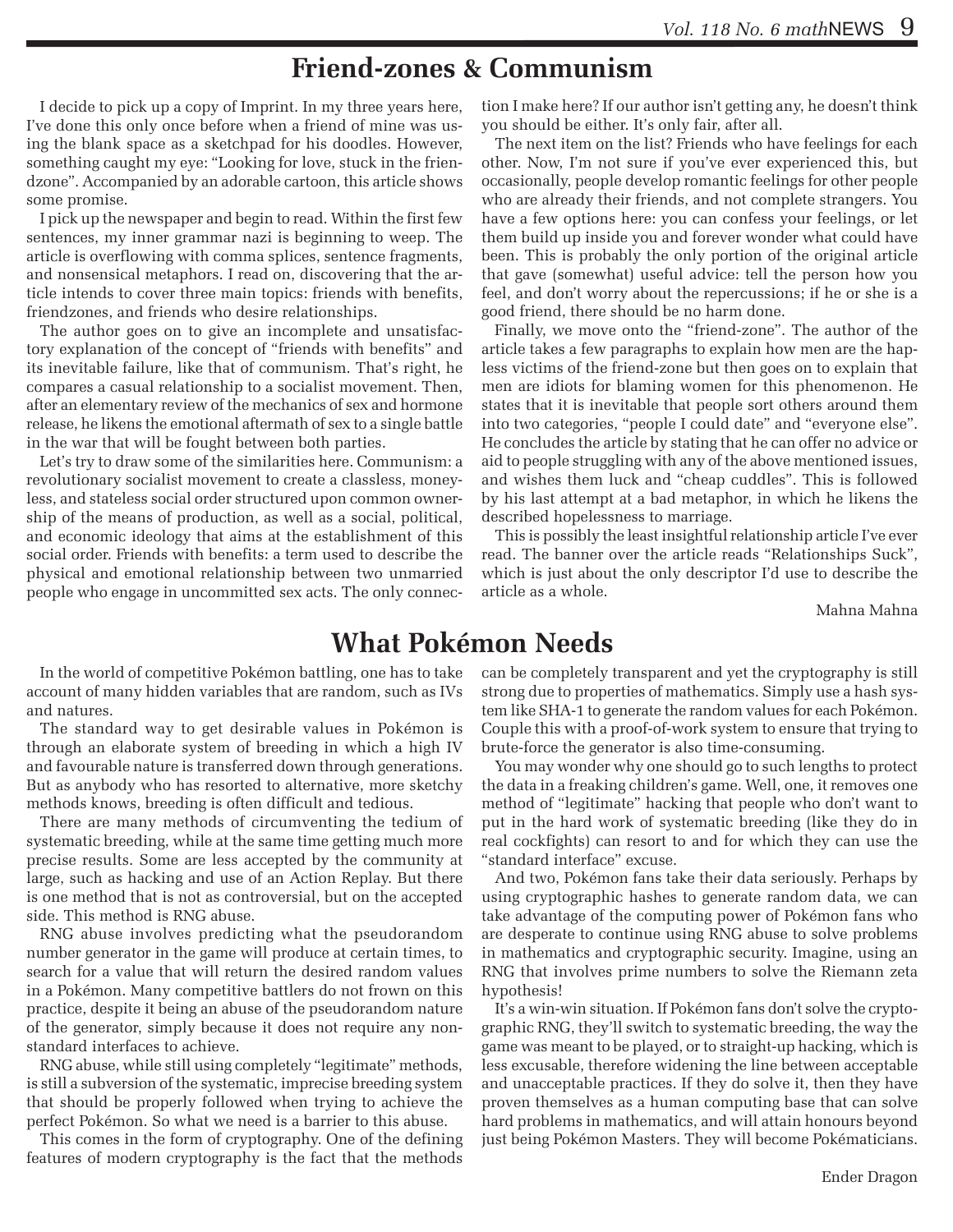#### **Friend-zones & Communism**

I decide to pick up a copy of Imprint. In my three years here, I've done this only once before when a friend of mine was using the blank space as a sketchpad for his doodles. However, something caught my eye: "Looking for love, stuck in the friendzone". Accompanied by an adorable cartoon, this article shows some promise.

I pick up the newspaper and begin to read. Within the first few sentences, my inner grammar nazi is beginning to weep. The article is overflowing with comma splices, sentence fragments, and nonsensical metaphors. I read on, discovering that the article intends to cover three main topics: friends with benefits, friendzones, and friends who desire relationships.

The author goes on to give an incomplete and unsatisfactory explanation of the concept of "friends with benefits" and its inevitable failure, like that of communism. That's right, he compares a casual relationship to a socialist movement. Then, after an elementary review of the mechanics of sex and hormone release, he likens the emotional aftermath of sex to a single battle in the war that will be fought between both parties.

Let's try to draw some of the similarities here. Communism: a revolutionary socialist movement to create a classless, moneyless, and stateless social order structured upon common ownership of the means of production, as well as a social, political, and economic ideology that aims at the establishment of this social order. Friends with benefits: a term used to describe the physical and emotional relationship between two unmarried people who engage in uncommitted sex acts. The only connection I make here? If our author isn't getting any, he doesn't think you should be either. It's only fair, after all.

The next item on the list? Friends who have feelings for each other. Now, I'm not sure if you've ever experienced this, but occasionally, people develop romantic feelings for other people who are already their friends, and not complete strangers. You have a few options here: you can confess your feelings, or let them build up inside you and forever wonder what could have been. This is probably the only portion of the original article that gave (somewhat) useful advice: tell the person how you feel, and don't worry about the repercussions; if he or she is a good friend, there should be no harm done.

Finally, we move onto the "friend-zone". The author of the article takes a few paragraphs to explain how men are the hapless victims of the friend-zone but then goes on to explain that men are idiots for blaming women for this phenomenon. He states that it is inevitable that people sort others around them into two categories, "people I could date" and "everyone else". He concludes the article by stating that he can offer no advice or aid to people struggling with any of the above mentioned issues, and wishes them luck and "cheap cuddles". This is followed by his last attempt at a bad metaphor, in which he likens the described hopelessness to marriage.

This is possibly the least insightful relationship article I've ever read. The banner over the article reads "Relationships Suck", which is just about the only descriptor I'd use to describe the article as a whole.

Mahna Mahna

#### **What Pokémon Needs**

In the world of competitive Pokémon battling, one has to take account of many hidden variables that are random, such as IVs and natures.

The standard way to get desirable values in Pokémon is through an elaborate system of breeding in which a high IV and favourable nature is transferred down through generations. But as anybody who has resorted to alternative, more sketchy methods knows, breeding is often difficult and tedious.

There are many methods of circumventing the tedium of systematic breeding, while at the same time getting much more precise results. Some are less accepted by the community at large, such as hacking and use of an Action Replay. But there is one method that is not as controversial, but on the accepted side. This method is RNG abuse.

RNG abuse involves predicting what the pseudorandom number generator in the game will produce at certain times, to search for a value that will return the desired random values in a Pokémon. Many competitive battlers do not frown on this practice, despite it being an abuse of the pseudorandom nature of the generator, simply because it does not require any nonstandard interfaces to achieve.

RNG abuse, while still using completely "legitimate" methods, is still a subversion of the systematic, imprecise breeding system that should be properly followed when trying to achieve the perfect Pokémon. So what we need is a barrier to this abuse.

This comes in the form of cryptography. One of the defining features of modern cryptography is the fact that the methods

can be completely transparent and yet the cryptography is still strong due to properties of mathematics. Simply use a hash system like SHA-1 to generate the random values for each Pokémon. Couple this with a proof-of-work system to ensure that trying to brute-force the generator is also time-consuming.

You may wonder why one should go to such lengths to protect the data in a freaking children's game. Well, one, it removes one method of "legitimate" hacking that people who don't want to put in the hard work of systematic breeding (like they do in real cockfights) can resort to and for which they can use the "standard interface" excuse.

And two, Pokémon fans take their data seriously. Perhaps by using cryptographic hashes to generate random data, we can take advantage of the computing power of Pokémon fans who are desperate to continue using RNG abuse to solve problems in mathematics and cryptographic security. Imagine, using an RNG that involves prime numbers to solve the Riemann zeta hypothesis!

It's a win-win situation. If Pokémon fans don't solve the cryptographic RNG, they'll switch to systematic breeding, the way the game was meant to be played, or to straight-up hacking, which is less excusable, therefore widening the line between acceptable and unacceptable practices. If they do solve it, then they have proven themselves as a human computing base that can solve hard problems in mathematics, and will attain honours beyond just being Pokémon Masters. They will become Pokématicians.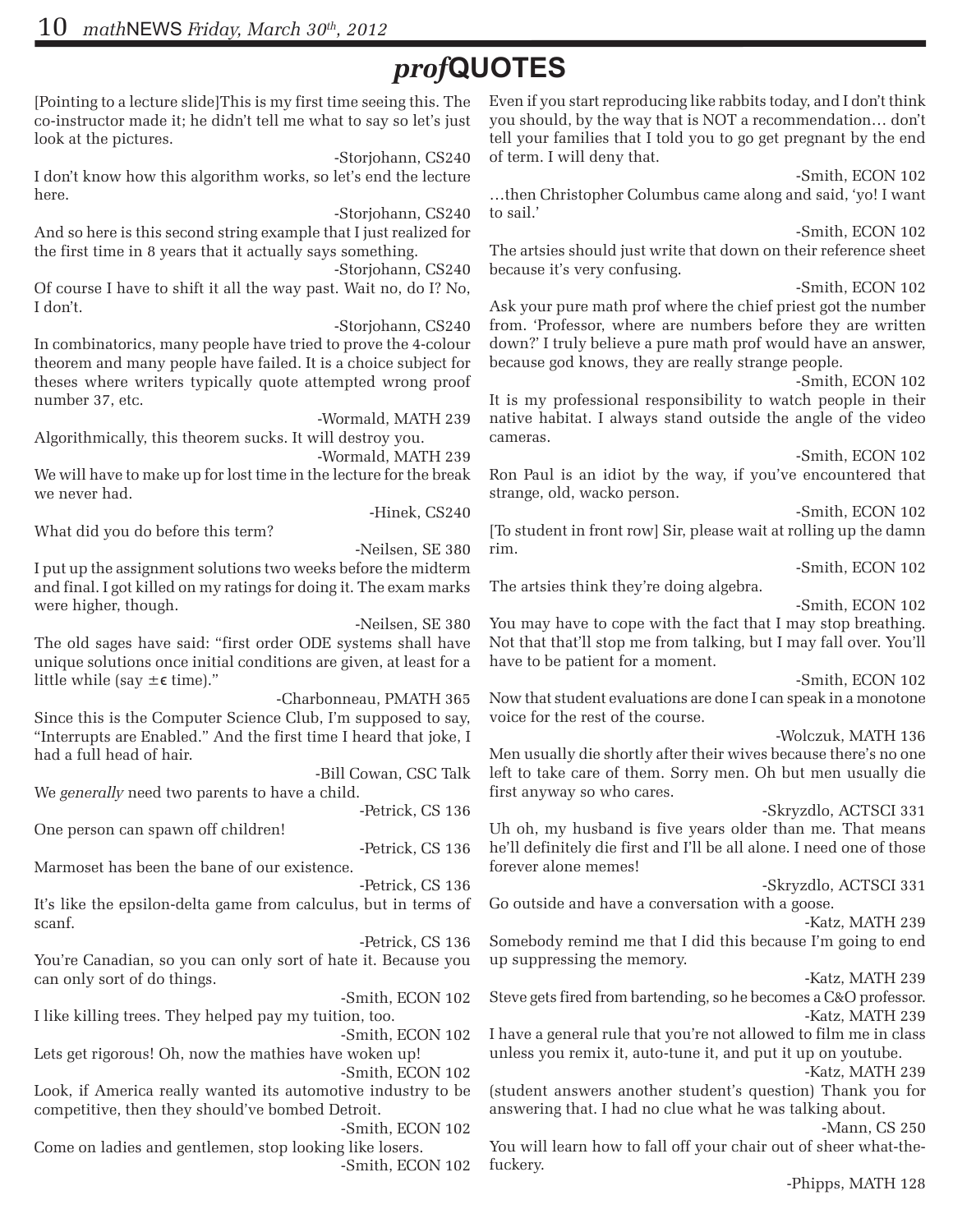## *prof***QUOTES**

[Pointing to a lecture slide]This is my first time seeing this. The co-instructor made it; he didn't tell me what to say so let's just look at the pictures.

-Storjohann, CS240 I don't know how this algorithm works, so let's end the lecture here.

-Storjohann, CS240

And so here is this second string example that I just realized for the first time in 8 years that it actually says something.

-Storjohann, CS240 Of course I have to shift it all the way past. Wait no, do I? No, I don't.

-Storjohann, CS240 In combinatorics, many people have tried to prove the 4-colour theorem and many people have failed. It is a choice subject for theses where writers typically quote attempted wrong proof number 37, etc.

-Wormald, MATH 239 Algorithmically, this theorem sucks. It will destroy you.

 -Wormald, MATH 239 We will have to make up for lost time in the lecture for the break we never had.

What did you do before this term?

-Hinek, CS240

-Neilsen, SE 380 I put up the assignment solutions two weeks before the midterm and final. I got killed on my ratings for doing it. The exam marks were higher, though.

-Neilsen, SE 380 The old sages have said: "first order ODE systems shall have unique solutions once initial conditions are given, at least for a little while (say  $\pm \epsilon$  time)."

-Charbonneau, PMATH 365 Since this is the Computer Science Club, I'm supposed to say, "Interrupts are Enabled." And the first time I heard that joke, I had a full head of hair.

-Bill Cowan, CSC Talk

We *generally* need two parents to have a child. -Petrick, CS 136

One person can spawn off children!

-Petrick, CS 136 Marmoset has been the bane of our existence.

-Petrick, CS 136

It's like the epsilon-delta game from calculus, but in terms of scanf.

-Petrick, CS 136 You're Canadian, so you can only sort of hate it. Because you can only sort of do things.

-Smith, ECON 102 I like killing trees. They helped pay my tuition, too.

-Smith, ECON 102 Lets get rigorous! Oh, now the mathies have woken up! -Smith, ECON 102

Look, if America really wanted its automotive industry to be competitive, then they should've bombed Detroit.

-Smith, ECON 102 Come on ladies and gentlemen, stop looking like losers. -Smith, ECON 102 Even if you start reproducing like rabbits today, and I don't think you should, by the way that is NOT a recommendation… don't tell your families that I told you to go get pregnant by the end of term. I will deny that.

-Smith, ECON 102 …then Christopher Columbus came along and said, 'yo! I want to sail.'

-Smith, ECON 102 The artsies should just write that down on their reference sheet because it's very confusing.

-Smith, ECON 102

Ask your pure math prof where the chief priest got the number from. 'Professor, where are numbers before they are written down?' I truly believe a pure math prof would have an answer, because god knows, they are really strange people.

-Smith, ECON 102

It is my professional responsibility to watch people in their native habitat. I always stand outside the angle of the video cameras.

-Smith, ECON 102

Ron Paul is an idiot by the way, if you've encountered that strange, old, wacko person.

-Smith, ECON 102 [To student in front row] Sir, please wait at rolling up the damn rim.

-Smith, ECON 102

The artsies think they're doing algebra.

-Smith, ECON 102

You may have to cope with the fact that I may stop breathing. Not that that'll stop me from talking, but I may fall over. You'll have to be patient for a moment.

-Smith, ECON 102

Now that student evaluations are done I can speak in a monotone voice for the rest of the course.

-Wolczuk, MATH 136

Men usually die shortly after their wives because there's no one left to take care of them. Sorry men. Oh but men usually die first anyway so who cares.

-Skryzdlo, ACTSCI 331

Uh oh, my husband is five years older than me. That means he'll definitely die first and I'll be all alone. I need one of those forever alone memes!

-Skryzdlo, ACTSCI 331 Go outside and have a conversation with a goose.

-Katz, MATH 239

Somebody remind me that I did this because I'm going to end up suppressing the memory.

-Katz, MATH 239

Steve gets fired from bartending, so he becomes a C&O professor. -Katz, MATH 239

I have a general rule that you're not allowed to film me in class unless you remix it, auto-tune it, and put it up on youtube.

-Katz, MATH 239 (student answers another student's question) Thank you for answering that. I had no clue what he was talking about.

-Mann, CS 250 You will learn how to fall off your chair out of sheer what-thefuckery.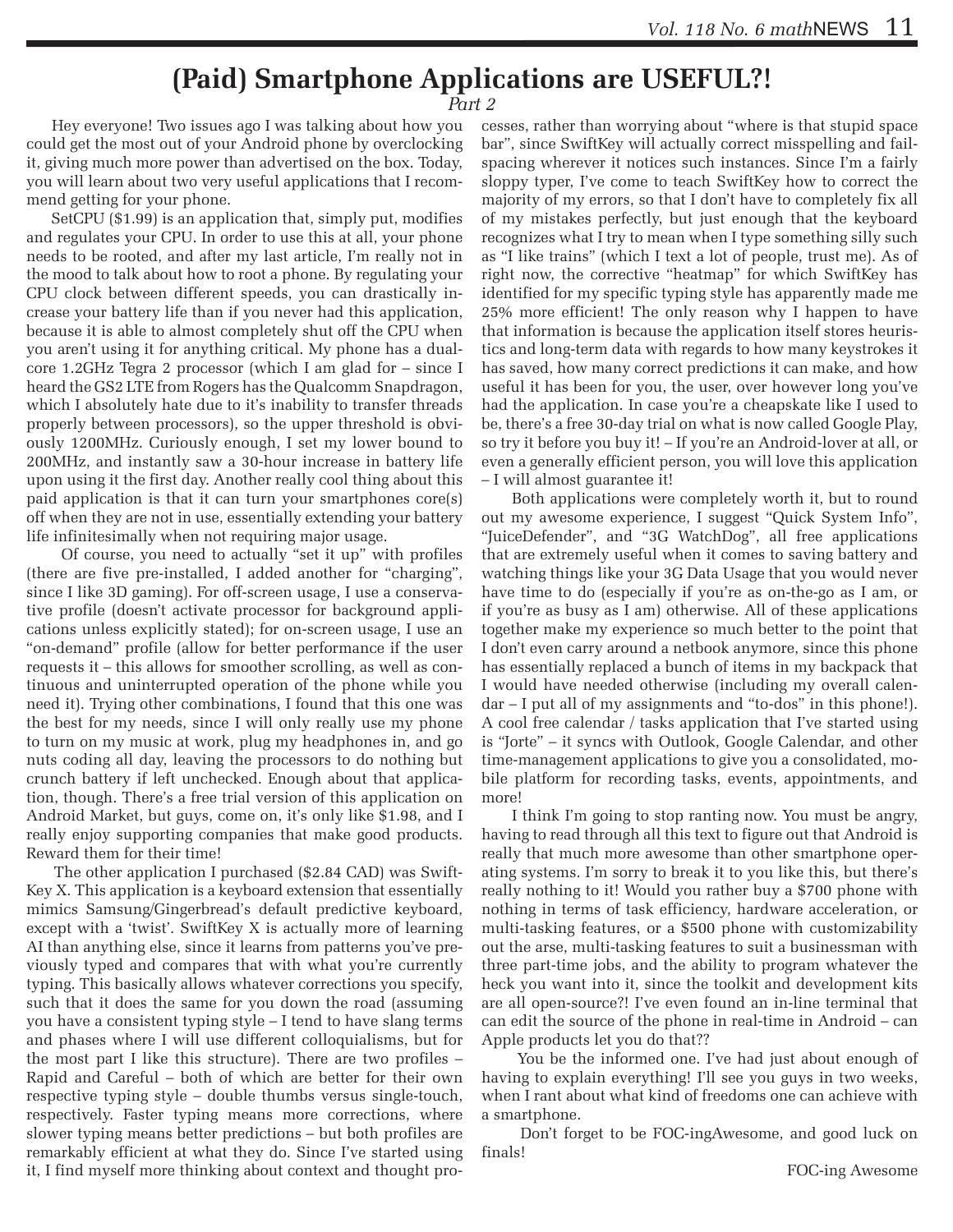### **(Paid) Smartphone Applications are USEFUL?!**

*Part 2*

 Hey everyone! Two issues ago I was talking about how you could get the most out of your Android phone by overclocking it, giving much more power than advertised on the box. Today, you will learn about two very useful applications that I recommend getting for your phone.

 SetCPU (\$1.99) is an application that, simply put, modifies and regulates your CPU. In order to use this at all, your phone needs to be rooted, and after my last article, I'm really not in the mood to talk about how to root a phone. By regulating your CPU clock between different speeds, you can drastically increase your battery life than if you never had this application, because it is able to almost completely shut off the CPU when you aren't using it for anything critical. My phone has a dualcore 1.2GHz Tegra 2 processor (which I am glad for – since I heard the GS2 LTE from Rogers has the Qualcomm Snapdragon, which I absolutely hate due to it's inability to transfer threads properly between processors), so the upper threshold is obviously 1200MHz. Curiously enough, I set my lower bound to 200MHz, and instantly saw a 30-hour increase in battery life upon using it the first day. Another really cool thing about this paid application is that it can turn your smartphones core(s) off when they are not in use, essentially extending your battery life infinitesimally when not requiring major usage.

 Of course, you need to actually "set it up" with profiles (there are five pre-installed, I added another for "charging", since I like 3D gaming). For off-screen usage, I use a conservative profile (doesn't activate processor for background applications unless explicitly stated); for on-screen usage, I use an "on-demand" profile (allow for better performance if the user requests it – this allows for smoother scrolling, as well as continuous and uninterrupted operation of the phone while you need it). Trying other combinations, I found that this one was the best for my needs, since I will only really use my phone to turn on my music at work, plug my headphones in, and go nuts coding all day, leaving the processors to do nothing but crunch battery if left unchecked. Enough about that application, though. There's a free trial version of this application on Android Market, but guys, come on, it's only like \$1.98, and I really enjoy supporting companies that make good products. Reward them for their time!

 The other application I purchased (\$2.84 CAD) was Swift-Key X. This application is a keyboard extension that essentially mimics Samsung/Gingerbread's default predictive keyboard, except with a 'twist'. SwiftKey X is actually more of learning AI than anything else, since it learns from patterns you've previously typed and compares that with what you're currently typing. This basically allows whatever corrections you specify, such that it does the same for you down the road (assuming you have a consistent typing style – I tend to have slang terms and phases where I will use different colloquialisms, but for the most part I like this structure). There are two profiles – Rapid and Careful – both of which are better for their own respective typing style – double thumbs versus single-touch, respectively. Faster typing means more corrections, where slower typing means better predictions – but both profiles are remarkably efficient at what they do. Since I've started using it, I find myself more thinking about context and thought pro-

cesses, rather than worrying about "where is that stupid space bar", since SwiftKey will actually correct misspelling and failspacing wherever it notices such instances. Since I'm a fairly sloppy typer, I've come to teach SwiftKey how to correct the majority of my errors, so that I don't have to completely fix all of my mistakes perfectly, but just enough that the keyboard recognizes what I try to mean when I type something silly such as "I like trains" (which I text a lot of people, trust me). As of right now, the corrective "heatmap" for which SwiftKey has identified for my specific typing style has apparently made me 25% more efficient! The only reason why I happen to have that information is because the application itself stores heuristics and long-term data with regards to how many keystrokes it has saved, how many correct predictions it can make, and how useful it has been for you, the user, over however long you've had the application. In case you're a cheapskate like I used to be, there's a free 30-day trial on what is now called Google Play, so try it before you buy it! – If you're an Android-lover at all, or even a generally efficient person, you will love this application – I will almost guarantee it!

 Both applications were completely worth it, but to round out my awesome experience, I suggest "Quick System Info", "JuiceDefender", and "3G WatchDog", all free applications that are extremely useful when it comes to saving battery and watching things like your 3G Data Usage that you would never have time to do (especially if you're as on-the-go as I am, or if you're as busy as I am) otherwise. All of these applications together make my experience so much better to the point that I don't even carry around a netbook anymore, since this phone has essentially replaced a bunch of items in my backpack that I would have needed otherwise (including my overall calendar – I put all of my assignments and "to-dos" in this phone!). A cool free calendar / tasks application that I've started using is "Jorte" – it syncs with Outlook, Google Calendar, and other time-management applications to give you a consolidated, mobile platform for recording tasks, events, appointments, and more!

 I think I'm going to stop ranting now. You must be angry, having to read through all this text to figure out that Android is really that much more awesome than other smartphone operating systems. I'm sorry to break it to you like this, but there's really nothing to it! Would you rather buy a \$700 phone with nothing in terms of task efficiency, hardware acceleration, or multi-tasking features, or a \$500 phone with customizability out the arse, multi-tasking features to suit a businessman with three part-time jobs, and the ability to program whatever the heck you want into it, since the toolkit and development kits are all open-source?! I've even found an in-line terminal that can edit the source of the phone in real-time in Android – can Apple products let you do that??

 You be the informed one. I've had just about enough of having to explain everything! I'll see you guys in two weeks, when I rant about what kind of freedoms one can achieve with a smartphone.

 Don't forget to be FOC-ingAwesome, and good luck on finals!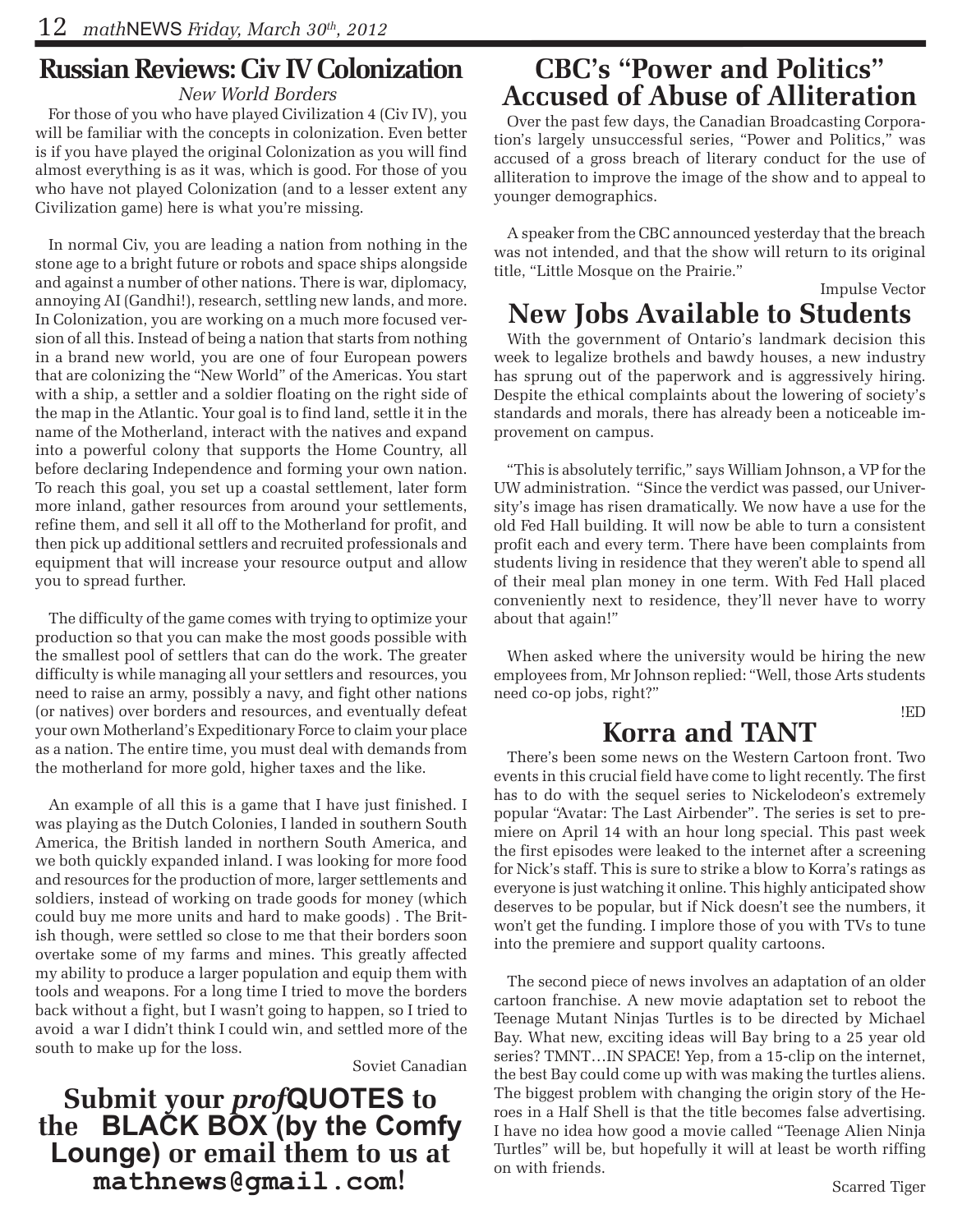## **Russian Reviews: Civ IV Colonization**

*New World Borders*

For those of you who have played Civilization 4 (Civ IV), you will be familiar with the concepts in colonization. Even better is if you have played the original Colonization as you will find almost everything is as it was, which is good. For those of you who have not played Colonization (and to a lesser extent any Civilization game) here is what you're missing.

In normal Civ, you are leading a nation from nothing in the stone age to a bright future or robots and space ships alongside and against a number of other nations. There is war, diplomacy, annoying AI (Gandhi!), research, settling new lands, and more. In Colonization, you are working on a much more focused version of all this. Instead of being a nation that starts from nothing in a brand new world, you are one of four European powers that are colonizing the "New World" of the Americas. You start with a ship, a settler and a soldier floating on the right side of the map in the Atlantic. Your goal is to find land, settle it in the name of the Motherland, interact with the natives and expand into a powerful colony that supports the Home Country, all before declaring Independence and forming your own nation. To reach this goal, you set up a coastal settlement, later form more inland, gather resources from around your settlements, refine them, and sell it all off to the Motherland for profit, and then pick up additional settlers and recruited professionals and equipment that will increase your resource output and allow you to spread further.

The difficulty of the game comes with trying to optimize your production so that you can make the most goods possible with the smallest pool of settlers that can do the work. The greater difficulty is while managing all your settlers and resources, you need to raise an army, possibly a navy, and fight other nations (or natives) over borders and resources, and eventually defeat your own Motherland's Expeditionary Force to claim your place as a nation. The entire time, you must deal with demands from the motherland for more gold, higher taxes and the like.

An example of all this is a game that I have just finished. I was playing as the Dutch Colonies, I landed in southern South America, the British landed in northern South America, and we both quickly expanded inland. I was looking for more food and resources for the production of more, larger settlements and soldiers, instead of working on trade goods for money (which could buy me more units and hard to make goods) . The British though, were settled so close to me that their borders soon overtake some of my farms and mines. This greatly affected my ability to produce a larger population and equip them with tools and weapons. For a long time I tried to move the borders back without a fight, but I wasn't going to happen, so I tried to avoid a war I didn't think I could win, and settled more of the south to make up for the loss.

Soviet Canadian

**Submit your** *prof***QUOTES to the BLACK BOX (by the Comfy Lounge) or email them to us at mathnews@gmail.com!**

### **CBC's "Power and Politics" Accused of Abuse of Alliteration**

Over the past few days, the Canadian Broadcasting Corporation's largely unsuccessful series, "Power and Politics," was accused of a gross breach of literary conduct for the use of alliteration to improve the image of the show and to appeal to younger demographics.

A speaker from the CBC announced yesterday that the breach was not intended, and that the show will return to its original title, "Little Mosque on the Prairie."

#### Impulse Vector **New Jobs Available to Students**

With the government of Ontario's landmark decision this week to legalize brothels and bawdy houses, a new industry has sprung out of the paperwork and is aggressively hiring. Despite the ethical complaints about the lowering of society's standards and morals, there has already been a noticeable improvement on campus.

"This is absolutely terrific," says William Johnson, a VP for the UW administration. "Since the verdict was passed, our University's image has risen dramatically. We now have a use for the old Fed Hall building. It will now be able to turn a consistent profit each and every term. There have been complaints from students living in residence that they weren't able to spend all of their meal plan money in one term. With Fed Hall placed conveniently next to residence, they'll never have to worry about that again!"

When asked where the university would be hiring the new employees from, Mr Johnson replied: "Well, those Arts students need co-op jobs, right?"

## **Korra and TANT**

There's been some news on the Western Cartoon front. Two events in this crucial field have come to light recently. The first has to do with the sequel series to Nickelodeon's extremely popular "Avatar: The Last Airbender". The series is set to premiere on April 14 with an hour long special. This past week the first episodes were leaked to the internet after a screening for Nick's staff. This is sure to strike a blow to Korra's ratings as everyone is just watching it online. This highly anticipated show deserves to be popular, but if Nick doesn't see the numbers, it won't get the funding. I implore those of you with TVs to tune into the premiere and support quality cartoons.

The second piece of news involves an adaptation of an older cartoon franchise. A new movie adaptation set to reboot the Teenage Mutant Ninjas Turtles is to be directed by Michael Bay. What new, exciting ideas will Bay bring to a 25 year old series? TMNT…IN SPACE! Yep, from a 15-clip on the internet, the best Bay could come up with was making the turtles aliens. The biggest problem with changing the origin story of the Heroes in a Half Shell is that the title becomes false advertising. I have no idea how good a movie called "Teenage Alien Ninja Turtles" will be, but hopefully it will at least be worth riffing on with friends.

!ED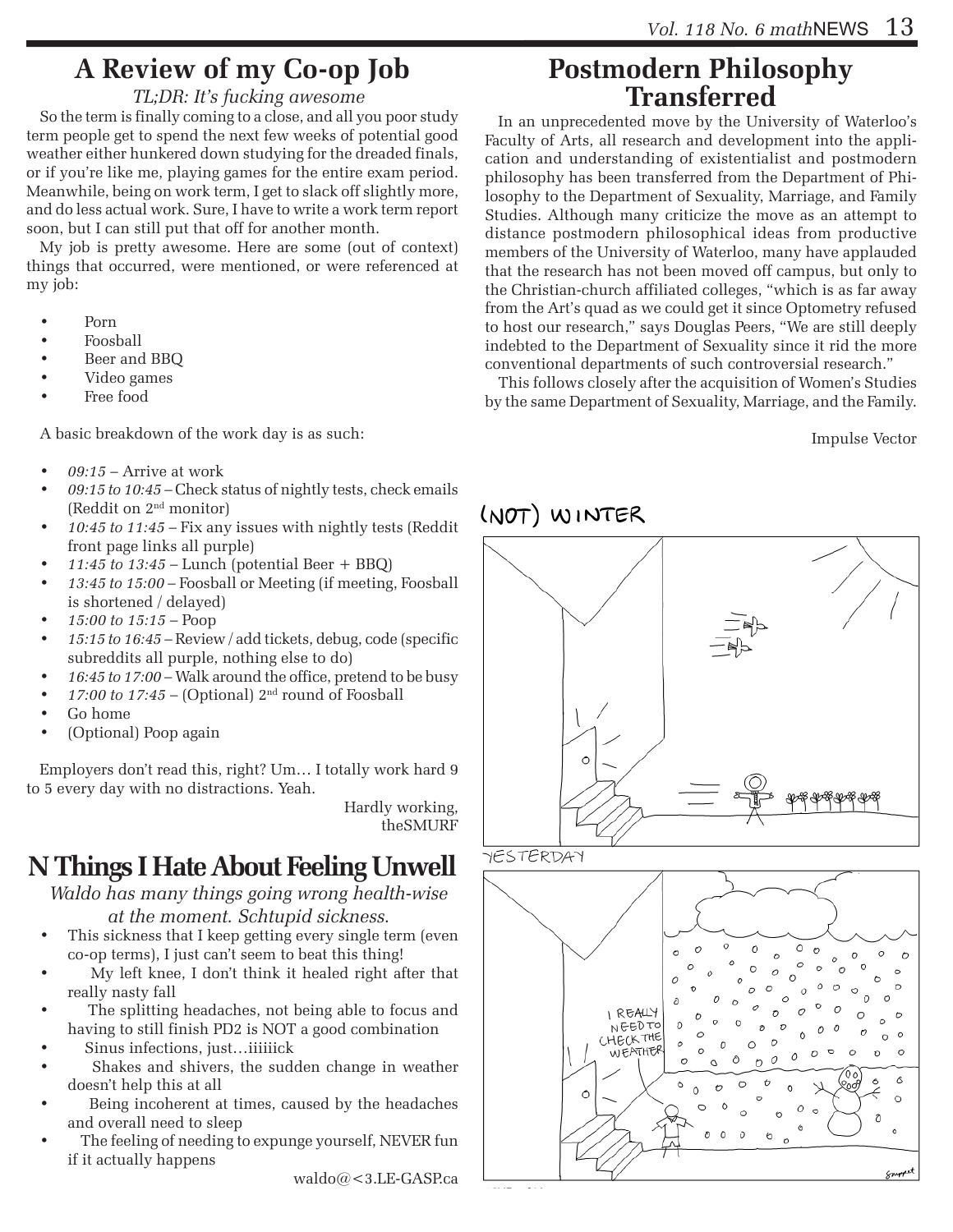## **A Review of my Co-op Job**

#### *TL;DR: It's fucking awesome*

So the term is finally coming to a close, and all you poor study term people get to spend the next few weeks of potential good weather either hunkered down studying for the dreaded finals, or if you're like me, playing games for the entire exam period. Meanwhile, being on work term, I get to slack off slightly more, and do less actual work. Sure, I have to write a work term report soon, but I can still put that off for another month.

My job is pretty awesome. Here are some (out of context) things that occurred, were mentioned, or were referenced at my job:

- Porn
- Foosball
- Beer and BBQ
- Video games
- Free food

A basic breakdown of the work day is as such:

- *• 09:15* Arrive at work
- 09:15 to 10:45 Check status of nightly tests, check emails (Reddit on 2nd monitor)
- 10:45 to 11:45 Fix any issues with nightly tests (Reddit front page links all purple)
- $11:45$  *to*  $13:45$  Lunch (potential Beer + BBQ)
- *• 13:45 to 15:00* Foosball or Meeting (if meeting, Foosball is shortened / delayed)
- *• 15:00 to 15:15* Poop
- *• 15:15 to 16:45* Review / add tickets, debug, code (specific subreddits all purple, nothing else to do)
- 16:45 to 17:00 Walk around the office, pretend to be busy
- $17:00$  to  $17:45$  (Optional)  $2<sup>nd</sup>$  round of Foosball
- Go home
- (Optional) Poop again

Employers don't read this, right? Um… I totally work hard 9 to 5 every day with no distractions. Yeah.

> Hardly working, theSMURF

## **N Things I Hate About Feeling Unwell**

*Waldo has many things going wrong health-wise at the moment. Schtupid sickness.* 

- This sickness that I keep getting every single term (even co-op terms), I just can't seem to beat this thing!
- My left knee, I don't think it healed right after that really nasty fall
- The splitting headaches, not being able to focus and having to still finish PD2 is NOT a good combination
- Sinus infections, just...iiiiiick
- Shakes and shivers, the sudden change in weather doesn't help this at all
- Being incoherent at times, caused by the headaches and overall need to sleep
- The feeling of needing to expunge yourself, NEVER fun if it actually happens

waldo@<3.LE-GASP.ca

# **Postmodern Philosophy Transferred**

In an unprecedented move by the University of Waterloo's Faculty of Arts, all research and development into the application and understanding of existentialist and postmodern philosophy has been transferred from the Department of Philosophy to the Department of Sexuality, Marriage, and Family Studies. Although many criticize the move as an attempt to distance postmodern philosophical ideas from productive members of the University of Waterloo, many have applauded that the research has not been moved off campus, but only to the Christian-church affiliated colleges, "which is as far away from the Art's quad as we could get it since Optometry refused to host our research," says Douglas Peers, "We are still deeply indebted to the Department of Sexuality since it rid the more conventional departments of such controversial research."

This follows closely after the acquisition of Women's Studies by the same Department of Sexuality, Marriage, and the Family.

Impulse Vector

### (NOT) WINTER

# $\circ$



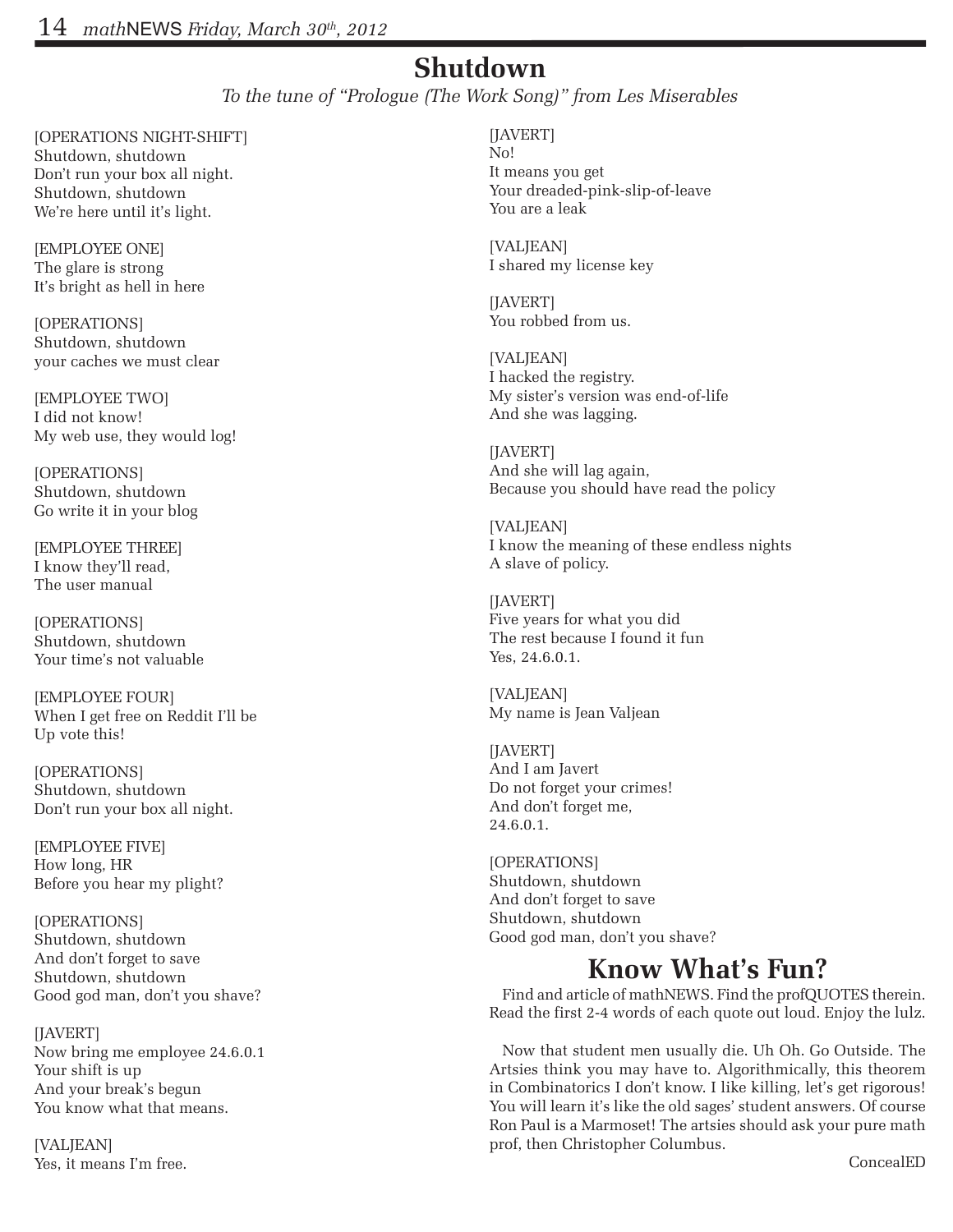#### **Shutdown**

*To the tune of "Prologue (The Work Song)" from Les Miserables*

[OPERATIONS NIGHT-SHIFT] Shutdown, shutdown Don't run your box all night. Shutdown, shutdown We're here until it's light.

[EMPLOYEE ONE] The glare is strong It's bright as hell in here

[OPERATIONS] Shutdown, shutdown your caches we must clear

[EMPLOYEE TWO] I did not know! My web use, they would log!

[OPERATIONS] Shutdown, shutdown Go write it in your blog

[EMPLOYEE THREE] I know they'll read, The user manual

[OPERATIONS] Shutdown, shutdown Your time's not valuable

[EMPLOYEE FOUR] When I get free on Reddit I'll be Up vote this!

[OPERATIONS] Shutdown, shutdown Don't run your box all night.

[EMPLOYEE FIVE] How long, HR Before you hear my plight?

[OPERATIONS] Shutdown, shutdown And don't forget to save Shutdown, shutdown Good god man, don't you shave?

[JAVERT] Now bring me employee 24.6.0.1 Your shift is up And your break's begun You know what that means.

[VALJEAN] Yes, it means I'm free. [JAVERT] No! It means you get Your dreaded-pink-slip-of-leave You are a leak

[VALJEAN] I shared my license key

[JAVERT] You robbed from us.

[VALJEAN] I hacked the registry. My sister's version was end-of-life And she was lagging.

[JAVERT] And she will lag again, Because you should have read the policy

[VALJEAN] I know the meaning of these endless nights A slave of policy.

[JAVERT] Five years for what you did The rest because I found it fun Yes, 24.6.0.1.

[VALJEAN] My name is Jean Valjean

[JAVERT] And I am Javert Do not forget your crimes! And don't forget me, 24.6.0.1.

[OPERATIONS] Shutdown, shutdown And don't forget to save Shutdown, shutdown Good god man, don't you shave?

#### **Know What's Fun?**

Find and article of mathNEWS. Find the profQUOTES therein. Read the first 2-4 words of each quote out loud. Enjoy the lulz.

Now that student men usually die. Uh Oh. Go Outside. The Artsies think you may have to. Algorithmically, this theorem in Combinatorics I don't know. I like killing, let's get rigorous! You will learn it's like the old sages' student answers. Of course Ron Paul is a Marmoset! The artsies should ask your pure math prof, then Christopher Columbus.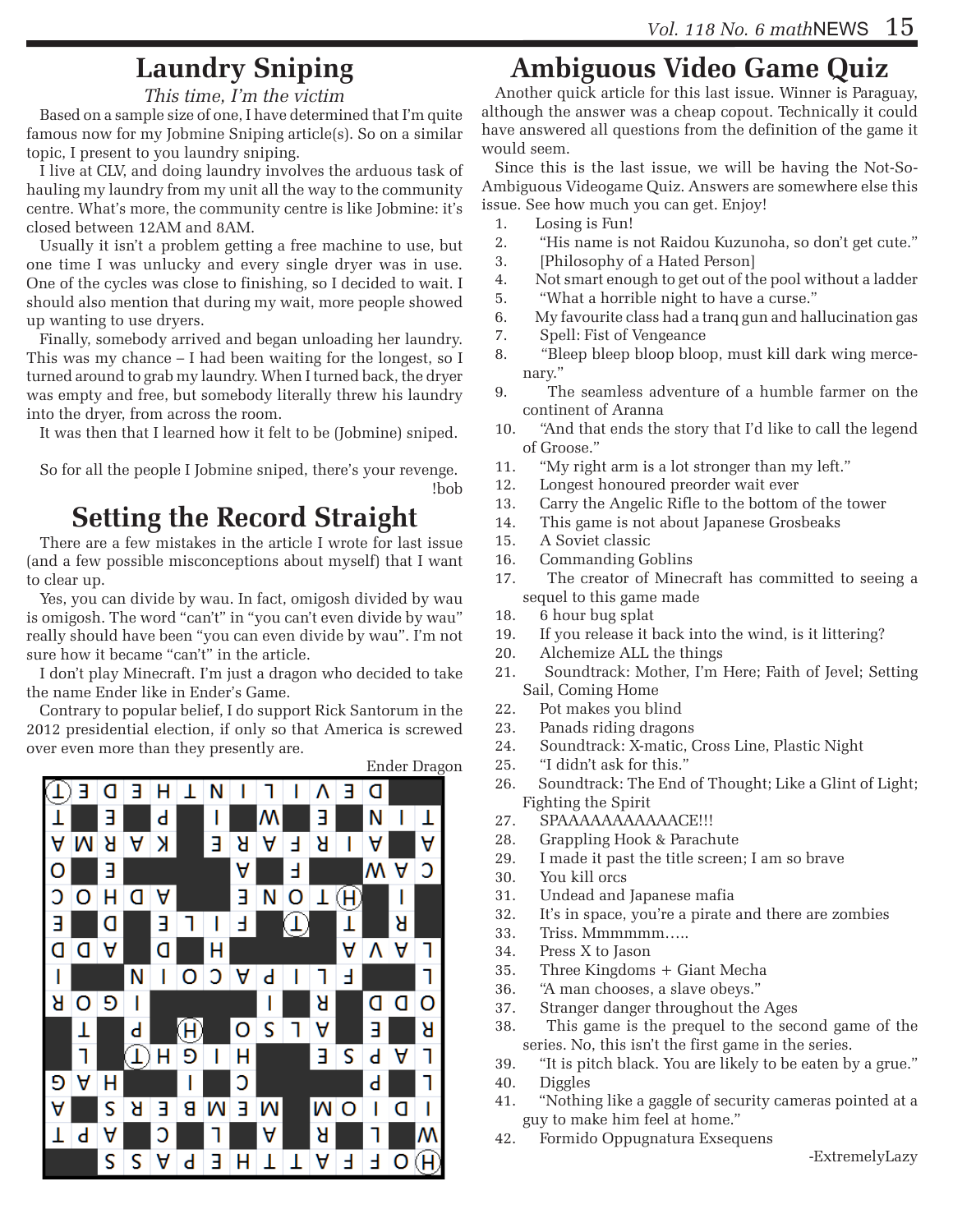## **Laundry Sniping**

#### *This time, I'm the victim*

Based on a sample size of one, I have determined that I'm quite famous now for my Jobmine Sniping article(s). So on a similar topic, I present to you laundry sniping.

I live at CLV, and doing laundry involves the arduous task of hauling my laundry from my unit all the way to the community centre. What's more, the community centre is like Jobmine: it's closed between 12AM and 8AM.

Usually it isn't a problem getting a free machine to use, but one time I was unlucky and every single dryer was in use. One of the cycles was close to finishing, so I decided to wait. I should also mention that during my wait, more people showed up wanting to use dryers.

Finally, somebody arrived and began unloading her laundry. This was my chance – I had been waiting for the longest, so I turned around to grab my laundry. When I turned back, the dryer was empty and free, but somebody literally threw his laundry into the dryer, from across the room.

It was then that I learned how it felt to be (Jobmine) sniped.

So for all the people I Jobmine sniped, there's your revenge. !bob

#### **Setting the Record Straight**

There are a few mistakes in the article I wrote for last issue (and a few possible misconceptions about myself) that I want to clear up.

Yes, you can divide by wau. In fact, omigosh divided by wau is omigosh. The word "can't" in "you can't even divide by wau" really should have been "you can even divide by wau". I'm not sure how it became "can't" in the article.

I don't play Minecraft. I'm just a dragon who decided to take the name Ender like in Ender's Game.

Contrary to popular belief, I do support Rick Santorum in the 2012 presidential election, if only so that America is screwed over even more than they presently are.



Ender Dragon

## **Ambiguous Video Game Quiz**

Another quick article for this last issue. Winner is Paraguay, although the answer was a cheap copout. Technically it could have answered all questions from the definition of the game it would seem.

Since this is the last issue, we will be having the Not-So-Ambiguous Videogame Quiz. Answers are somewhere else this issue. See how much you can get. Enjoy!

- 1. Losing is Fun!
- 2. "His name is not Raidou Kuzunoha, so don't get cute."
- 3. [Philosophy of a Hated Person]
- 4. Not smart enough to get out of the pool without a ladder
- 5. "What a horrible night to have a curse."
- 6. My favourite class had a tranq gun and hallucination gas
- 7. Spell: Fist of Vengeance
- 8. "Bleep bleep bloop bloop, must kill dark wing mercenary."
- 9. The seamless adventure of a humble farmer on the continent of Aranna
- 10. "And that ends the story that I'd like to call the legend of Groose."
- 11. "My right arm is a lot stronger than my left."
- 12. Longest honoured preorder wait ever
- 13. Carry the Angelic Rifle to the bottom of the tower
- 14. This game is not about Japanese Grosbeaks
- 15. A Soviet classic
- 16. Commanding Goblins
- 17. The creator of Minecraft has committed to seeing a sequel to this game made
- 18. 6 hour bug splat
- 19. If you release it back into the wind, is it littering?
- 20. Alchemize ALL the things
- 21. Soundtrack: Mother, I'm Here; Faith of Jevel; Setting Sail, Coming Home
- 22. Pot makes you blind
- 23. Panads riding dragons
- 24. Soundtrack: X-matic, Cross Line, Plastic Night
- 25. "I didn't ask for this."
- 26. Soundtrack: The End of Thought; Like a Glint of Light; Fighting the Spirit
- 27. SPAAAAAAAAAAACE!!!
- 28. Grappling Hook & Parachute
- 29. I made it past the title screen; I am so brave
- 30. You kill orcs
- 31. Undead and Japanese mafia
- 32. It's in space, you're a pirate and there are zombies
- 33. Triss. Mmmmmm…..
- 34. Press X to Jason
- 35. Three Kingdoms + Giant Mecha
- 36. "A man chooses, a slave obeys."
- 37. Stranger danger throughout the Ages
- 38. This game is the prequel to the second game of the series. No, this isn't the first game in the series.
- 39. "It is pitch black. You are likely to be eaten by a grue."
- 40. Diggles
- 41. "Nothing like a gaggle of security cameras pointed at a guy to make him feel at home."
- 42. Formido Oppugnatura Exsequens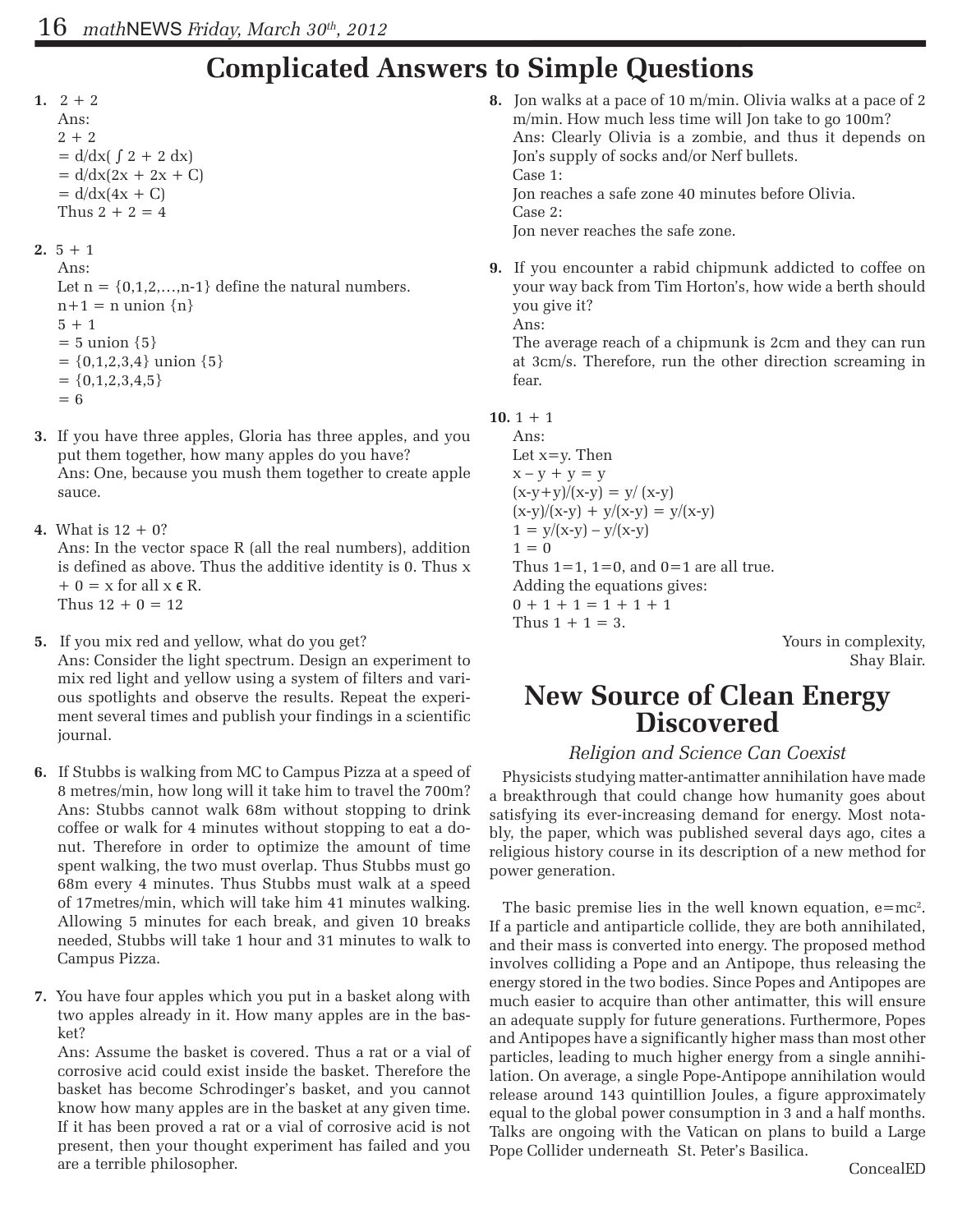## **Complicated Answers to Simple Questions**

1.  $2 + 2$ Ans:  $2 + 2$  $= d/dx$  $( \int 2 + 2 dx)$  $= d/dx(2x + 2x + C)$  $= d/dx(4x + C)$ Thus  $2 + 2 = 4$ 

**2.**  $5 + 1$ 

Ans: Let  $n = \{0, 1, 2, \ldots, n-1\}$  define the natural numbers.  $n+1 = n$  union  $\{n\}$  $5 + 1$  $= 5$  union  $\{5\}$  $= \{0,1,2,3,4\}$  union  $\{5\}$  $= \{0, 1, 2, 3, 4, 5\}$  $= 6$ 

- **3.** If you have three apples, Gloria has three apples, and you put them together, how many apples do you have? Ans: One, because you mush them together to create apple sauce.
- **4.** What is 12 + 0? Ans: In the vector space R (all the real numbers), addition is defined as above. Thus the additive identity is 0. Thus x  $+ 0 = x$  for all  $x \in R$ . Thus  $12 + 0 = 12$
- **5.** If you mix red and yellow, what do you get? Ans: Consider the light spectrum. Design an experiment to mix red light and yellow using a system of filters and various spotlights and observe the results. Repeat the experiment several times and publish your findings in a scientific journal.
- **6.** If Stubbs is walking from MC to Campus Pizza at a speed of 8 metres/min, how long will it take him to travel the 700m? Ans: Stubbs cannot walk 68m without stopping to drink coffee or walk for 4 minutes without stopping to eat a donut. Therefore in order to optimize the amount of time spent walking, the two must overlap. Thus Stubbs must go 68m every 4 minutes. Thus Stubbs must walk at a speed of 17metres/min, which will take him 41 minutes walking. Allowing 5 minutes for each break, and given 10 breaks needed, Stubbs will take 1 hour and 31 minutes to walk to Campus Pizza.
- **7.** You have four apples which you put in a basket along with two apples already in it. How many apples are in the basket?

Ans: Assume the basket is covered. Thus a rat or a vial of corrosive acid could exist inside the basket. Therefore the basket has become Schrodinger's basket, and you cannot know how many apples are in the basket at any given time. If it has been proved a rat or a vial of corrosive acid is not present, then your thought experiment has failed and you are a terrible philosopher.

**8.** Jon walks at a pace of 10 m/min. Olivia walks at a pace of 2 m/min. How much less time will Jon take to go 100m? Ans: Clearly Olivia is a zombie, and thus it depends on Jon's supply of socks and/or Nerf bullets. Case 1: Jon reaches a safe zone 40 minutes before Olivia. Case 2:

Jon never reaches the safe zone.

**9.** If you encounter a rabid chipmunk addicted to coffee on your way back from Tim Horton's, how wide a berth should you give it? Ans:

The average reach of a chipmunk is 2cm and they can run at 3cm/s. Therefore, run the other direction screaming in fear.

```
10. 1 + 1
```
Ans: Let  $x=y$ . Then  $x - y + y = y$  $(x-y+y)/(x-y) = y/(x-y)$  $(x-y)/(x-y) + y/(x-y) = y/(x-y)$  $1 = y/(x-y) - y/(x-y)$  $1 = 0$ Thus  $1=1$ ,  $1=0$ , and  $0=1$  are all true. Adding the equations gives:  $0 + 1 + 1 = 1 + 1 + 1$ Thus  $1 + 1 = 3$ .

Yours in complexity, Shay Blair.

## **New Source of Clean Energy Discovered**

#### *Religion and Science Can Coexist*

Physicists studying matter-antimatter annihilation have made a breakthrough that could change how humanity goes about satisfying its ever-increasing demand for energy. Most notably, the paper, which was published several days ago, cites a religious history course in its description of a new method for power generation.

The basic premise lies in the well known equation,  $e=mc^2$ . If a particle and antiparticle collide, they are both annihilated, and their mass is converted into energy. The proposed method involves colliding a Pope and an Antipope, thus releasing the energy stored in the two bodies. Since Popes and Antipopes are much easier to acquire than other antimatter, this will ensure an adequate supply for future generations. Furthermore, Popes and Antipopes have a significantly higher mass than most other particles, leading to much higher energy from a single annihilation. On average, a single Pope-Antipope annihilation would release around 143 quintillion Joules, a figure approximately equal to the global power consumption in 3 and a half months. Talks are ongoing with the Vatican on plans to build a Large Pope Collider underneath St. Peter's Basilica.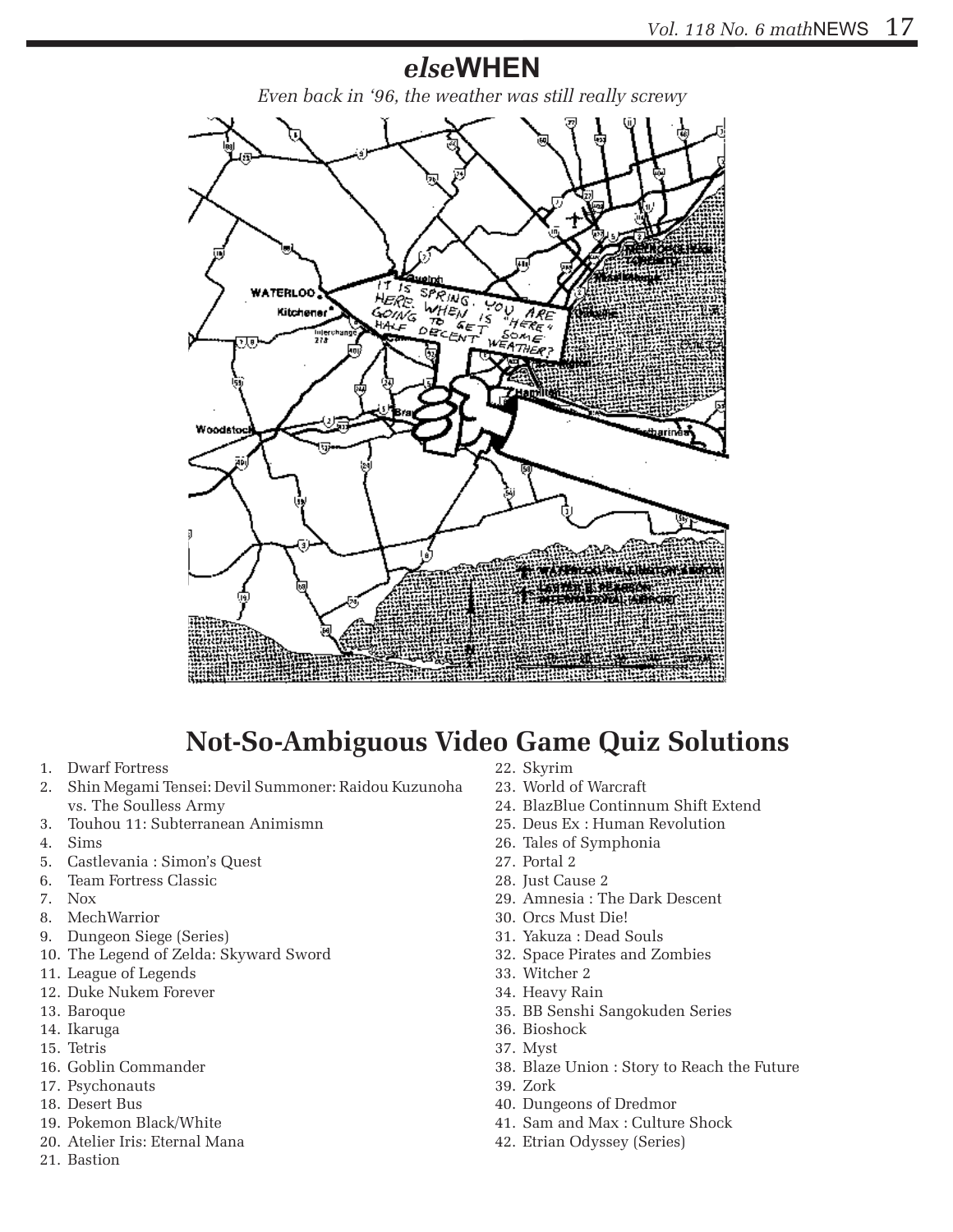#### *else***WHEN**

*Even back in '96, the weather was still really screwy*



### **Not-So-Ambiguous Video Game Quiz Solutions**

- 1. Dwarf Fortress
- 2. Shin Megami Tensei: Devil Summoner: Raidou Kuzunoha vs. The Soulless Army
- 3. Touhou 11: Subterranean Animismn
- 4. Sims
- 5. Castlevania : Simon's Quest
- 6. Team Fortress Classic
- 7. Nox
- 8. MechWarrior
- 9. Dungeon Siege (Series)
- 10. The Legend of Zelda: Skyward Sword
- 11. League of Legends
- 12. Duke Nukem Forever
- 13. Baroque
- 14. Ikaruga
- 15. Tetris
- 16. Goblin Commander
- 17. Psychonauts
- 18. Desert Bus
- 19. Pokemon Black/White
- 20. Atelier Iris: Eternal Mana
- 21. Bastion
- 22. Skyrim
- 23. World of Warcraft
- 24. BlazBlue Continnum Shift Extend
- 25. Deus Ex : Human Revolution
- 26. Tales of Symphonia
- 27. Portal 2
- 28. Just Cause 2
- 29. Amnesia : The Dark Descent
- 30. Orcs Must Die!
- 31. Yakuza : Dead Souls
- 32. Space Pirates and Zombies
- 33. Witcher 2
- 34. Heavy Rain
- 35. BB Senshi Sangokuden Series
- 36. Bioshock
- 37. Myst
- 38. Blaze Union : Story to Reach the Future
- 39. Zork
- 40. Dungeons of Dredmor
- 41. Sam and Max : Culture Shock
- 42. Etrian Odyssey (Series)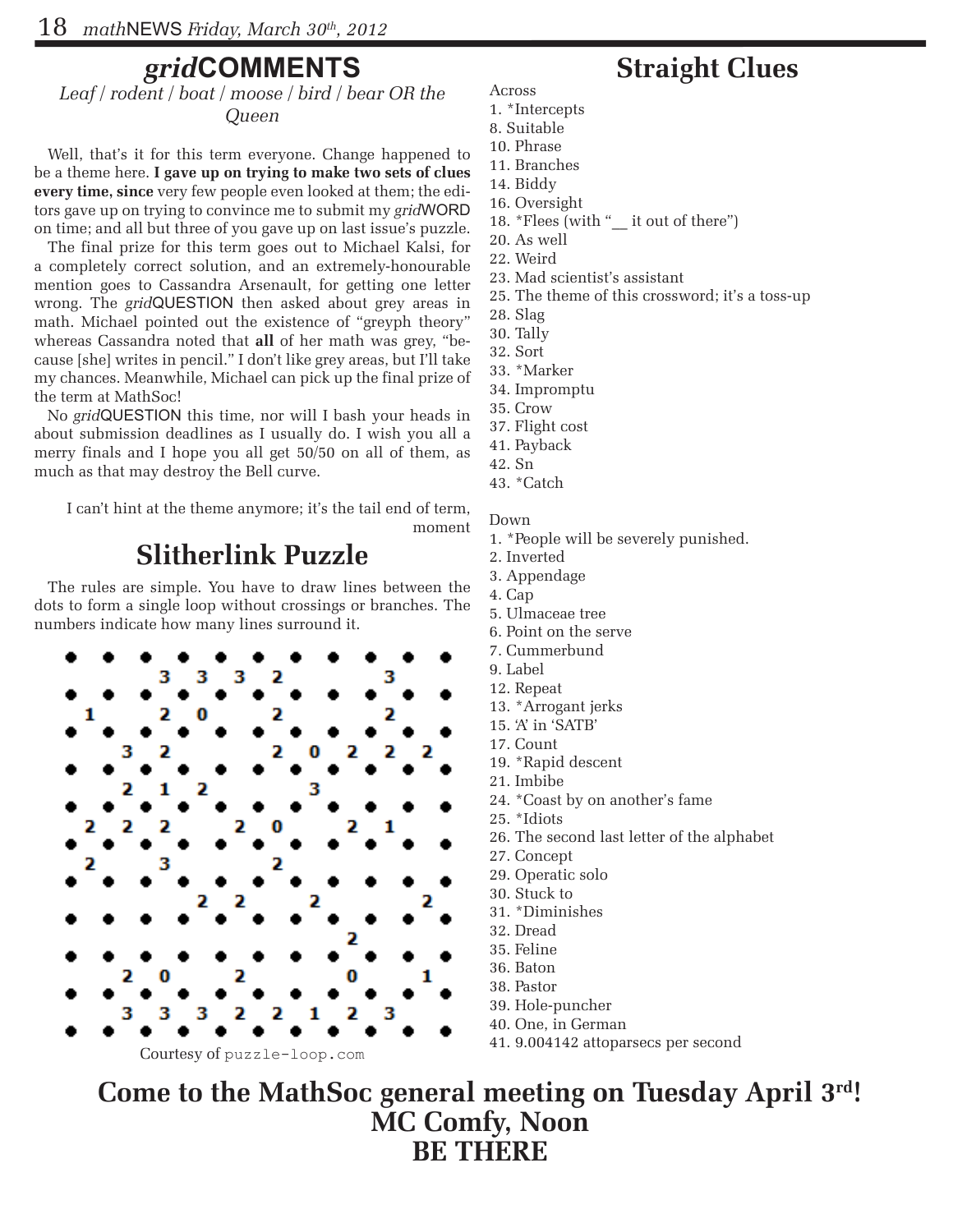#### *grid***COMMENTS**

*Leaf / rodent / boat / moose / bird / bear OR the Queen*

Well, that's it for this term everyone. Change happened to be a theme here. **I gave up on trying to make two sets of clues every time, since** very few people even looked at them; the editors gave up on trying to convince me to submit my *grid*WORD on time; and all but three of you gave up on last issue's puzzle.

The final prize for this term goes out to Michael Kalsi, for a completely correct solution, and an extremely-honourable mention goes to Cassandra Arsenault, for getting one letter wrong. The *grid*QUESTION then asked about grey areas in math. Michael pointed out the existence of "greyph theory" whereas Cassandra noted that **all** of her math was grey, "because [she] writes in pencil." I don't like grey areas, but I'll take my chances. Meanwhile, Michael can pick up the final prize of the term at MathSoc!

No *grid*QUESTION this time, nor will I bash your heads in about submission deadlines as I usually do. I wish you all a merry finals and I hope you all get 50/50 on all of them, as much as that may destroy the Bell curve.

I can't hint at the theme anymore; it's the tail end of term, moment

#### **Slitherlink Puzzle**

The rules are simple. You have to draw lines between the dots to form a single loop without crossings or branches. The numbers indicate how many lines surround it.



#### **Straight Clues**

- Across 1. \*Intercepts
- 8. Suitable
- 10. Phrase
- 11. Branches
- 14. Biddy
- 16. Oversight
- 18. \*Flees (with "\_\_ it out of there")
- 20. As well
- 22. Weird
- 23. Mad scientist's assistant
- 25. The theme of this crossword; it's a toss-up
- 28. Slag
- 30. Tally
- 32. Sort
- 33. \*Marker
- 34. Impromptu
- 35. Crow
- 37. Flight cost
- 41. Payback
- 42. Sn
- 43. \*Catch

Down

- 1. \*People will be severely punished.
- 2. Inverted
- 3. Appendage
- 4. Cap
- 5. Ulmaceae tree
- 6. Point on the serve
- 7. Cummerbund
- 9. Label
- 12. Repeat
- 13. \*Arrogant jerks 15. 'A' in 'SATB'
- 17. Count
- 19. \*Rapid descent
- 21. Imbibe
- 24. \*Coast by on another's fame
- 25. \*Idiots
- 26. The second last letter of the alphabet
- 27. Concept
- 29. Operatic solo
- 30. Stuck to
- 31. \*Diminishes
- 32. Dread
- 35. Feline
- 36. Baton
- 38. Pastor
- 39. Hole-puncher
- 40. One, in German
- 41. 9.004142 attoparsecs per second

**Come to the MathSoc general meeting on Tuesday April 3rd! MC Comfy, Noon BE THERE**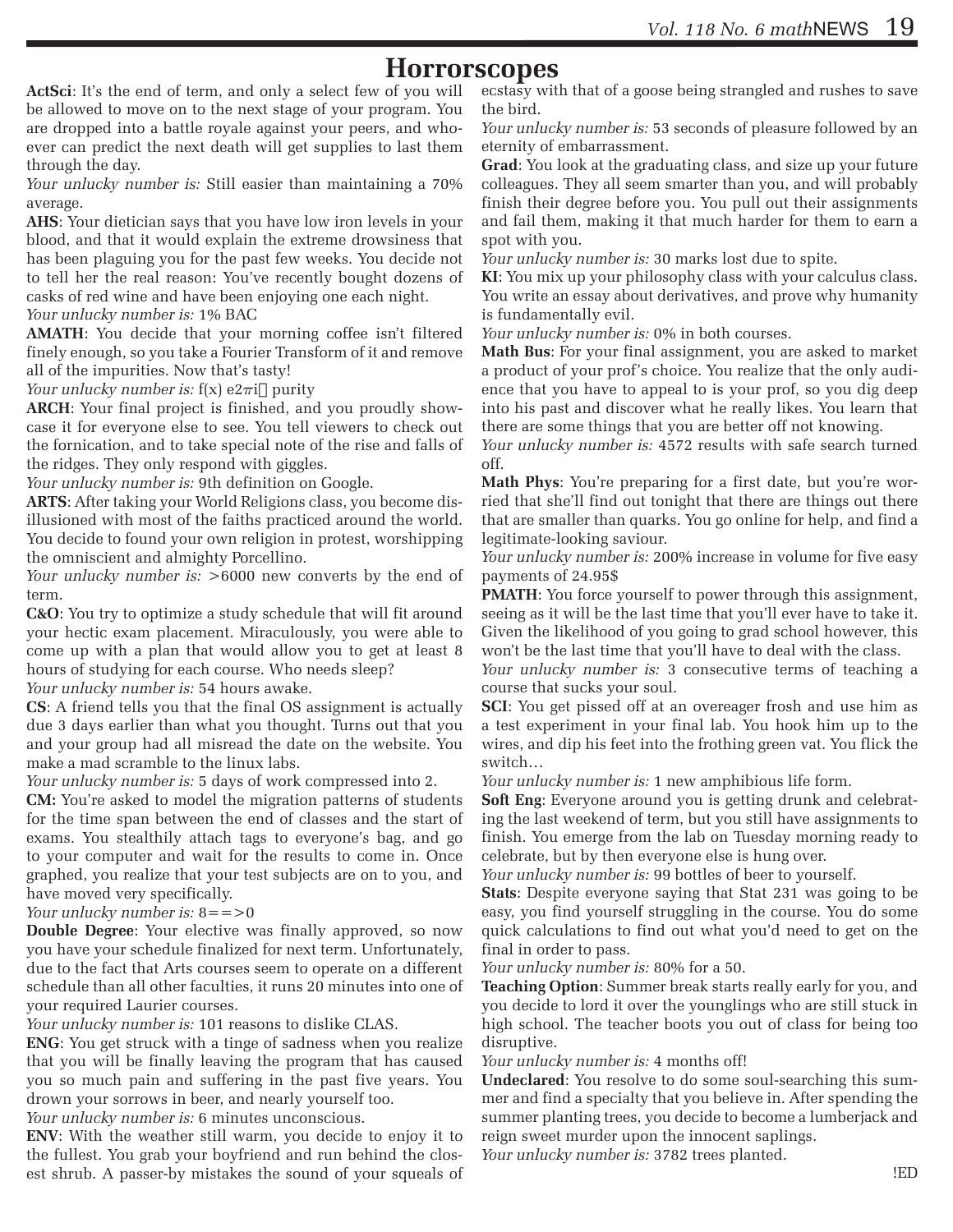#### **Horrorscopes**

**ActSci**: It's the end of term, and only a select few of you will be allowed to move on to the next stage of your program. You are dropped into a battle royale against your peers, and whoever can predict the next death will get supplies to last them through the day.

*Your unlucky number is:* Still easier than maintaining a 70% average.

**AHS**: Your dietician says that you have low iron levels in your blood, and that it would explain the extreme drowsiness that has been plaguing you for the past few weeks. You decide not to tell her the real reason: You've recently bought dozens of casks of red wine and have been enjoying one each night.

*Your unlucky number is:* 1% BAC

**AMATH**: You decide that your morning coffee isn't filtered finely enough, so you take a Fourier Transform of it and remove all of the impurities. Now that's tasty!

*Your unlucky number is:*  $f(x) e2\pi i$  purity

**ARCH**: Your final project is finished, and you proudly showcase it for everyone else to see. You tell viewers to check out the fornication, and to take special note of the rise and falls of the ridges. They only respond with giggles.

*Your unlucky number is:* 9th definition on Google.

**ARTS**: After taking your World Religions class, you become disillusioned with most of the faiths practiced around the world. You decide to found your own religion in protest, worshipping the omniscient and almighty Porcellino.

*Your unlucky number is:* >6000 new converts by the end of term.

**C&O**: You try to optimize a study schedule that will fit around your hectic exam placement. Miraculously, you were able to come up with a plan that would allow you to get at least 8 hours of studying for each course. Who needs sleep?

*Your unlucky number is:* 54 hours awake.

**CS**: A friend tells you that the final OS assignment is actually due 3 days earlier than what you thought. Turns out that you and your group had all misread the date on the website. You make a mad scramble to the linux labs.

*Your unlucky number is:* 5 days of work compressed into 2.

**CM:** You're asked to model the migration patterns of students for the time span between the end of classes and the start of exams. You stealthily attach tags to everyone's bag, and go to your computer and wait for the results to come in. Once graphed, you realize that your test subjects are on to you, and have moved very specifically.

*Your unlucky number is:* 8==>0

**Double Degree**: Your elective was finally approved, so now you have your schedule finalized for next term. Unfortunately, due to the fact that Arts courses seem to operate on a different schedule than all other faculties, it runs 20 minutes into one of your required Laurier courses.

*Your unlucky number is:* 101 reasons to dislike CLAS.

**ENG**: You get struck with a tinge of sadness when you realize that you will be finally leaving the program that has caused you so much pain and suffering in the past five years. You drown your sorrows in beer, and nearly yourself too.

*Your unlucky number is:* 6 minutes unconscious.

**ENV**: With the weather still warm, you decide to enjoy it to the fullest. You grab your boyfriend and run behind the closest shrub. A passer-by mistakes the sound of your squeals of

ecstasy with that of a goose being strangled and rushes to save the bird.

*Your unlucky number is:* 53 seconds of pleasure followed by an eternity of embarrassment.

**Grad**: You look at the graduating class, and size up your future colleagues. They all seem smarter than you, and will probably finish their degree before you. You pull out their assignments and fail them, making it that much harder for them to earn a spot with you.

*Your unlucky number is:* 30 marks lost due to spite.

**KI**: You mix up your philosophy class with your calculus class. You write an essay about derivatives, and prove why humanity is fundamentally evil.

*Your unlucky number is:* 0% in both courses.

**Math Bus**: For your final assignment, you are asked to market a product of your prof's choice. You realize that the only audience that you have to appeal to is your prof, so you dig deep into his past and discover what he really likes. You learn that there are some things that you are better off not knowing.

*Your unlucky number is:* 4572 results with safe search turned off.

**Math Phys**: You're preparing for a first date, but you're worried that she'll find out tonight that there are things out there that are smaller than quarks. You go online for help, and find a legitimate-looking saviour.

*Your unlucky number is:* 200% increase in volume for five easy payments of 24.95\$

**PMATH:** You force yourself to power through this assignment, seeing as it will be the last time that you'll ever have to take it. Given the likelihood of you going to grad school however, this won't be the last time that you'll have to deal with the class.

*Your unlucky number is:* 3 consecutive terms of teaching a course that sucks your soul.

**SCI**: You get pissed off at an overeager frosh and use him as a test experiment in your final lab. You hook him up to the wires, and dip his feet into the frothing green vat. You flick the switch…

*Your unlucky number is:* 1 new amphibious life form.

**Soft Eng**: Everyone around you is getting drunk and celebrating the last weekend of term, but you still have assignments to finish. You emerge from the lab on Tuesday morning ready to celebrate, but by then everyone else is hung over.

*Your unlucky number is:* 99 bottles of beer to yourself.

**Stats**: Despite everyone saying that Stat 231 was going to be easy, you find yourself struggling in the course. You do some quick calculations to find out what you'd need to get on the final in order to pass.

*Your unlucky number is:* 80% for a 50.

**Teaching Option**: Summer break starts really early for you, and you decide to lord it over the younglings who are still stuck in high school. The teacher boots you out of class for being too disruptive.

*Your unlucky number is:* 4 months off!

**Undeclared**: You resolve to do some soul-searching this summer and find a specialty that you believe in. After spending the summer planting trees, you decide to become a lumberjack and reign sweet murder upon the innocent saplings.

*Your unlucky number is:* 3782 trees planted.